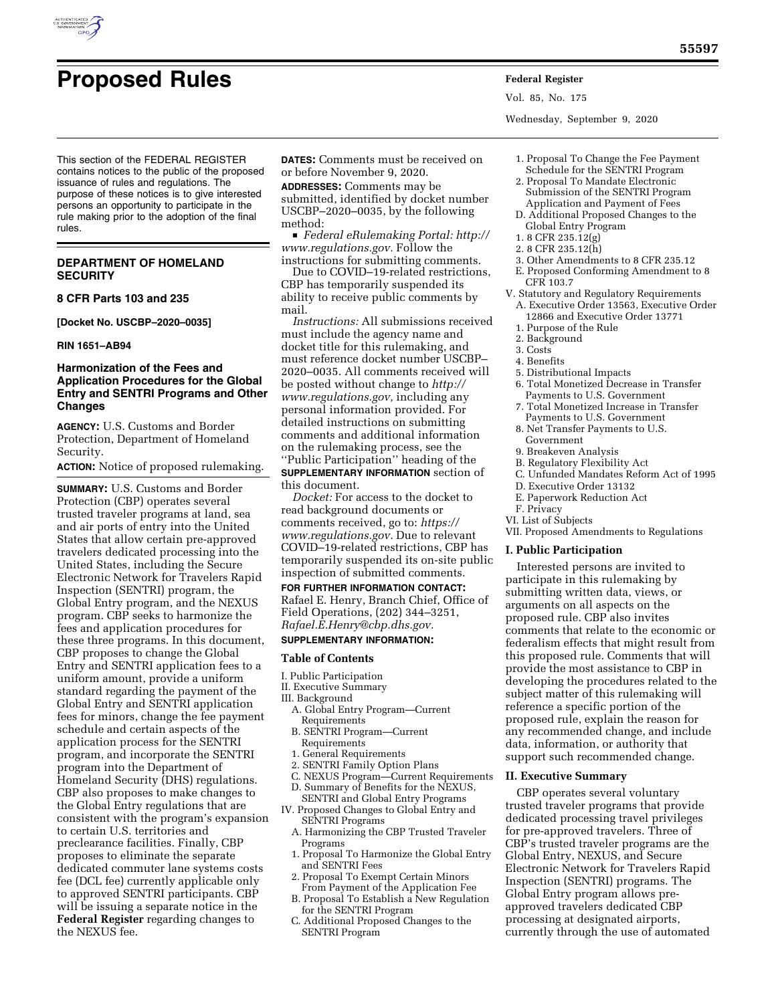

Vol. 85, No. 175

Wednesday, September 9, 2020

This section of the FEDERAL REGISTER contains notices to the public of the proposed issuance of rules and regulations. The purpose of these notices is to give interested persons an opportunity to participate in the rule making prior to the adoption of the final rules.

## **DEPARTMENT OF HOMELAND SECURITY**

#### **8 CFR Parts 103 and 235**

**[Docket No. USCBP–2020–0035]** 

#### **RIN 1651–AB94**

## **Harmonization of the Fees and Application Procedures for the Global Entry and SENTRI Programs and Other Changes**

**AGENCY:** U.S. Customs and Border Protection, Department of Homeland Security.

**ACTION:** Notice of proposed rulemaking.

**SUMMARY:** U.S. Customs and Border Protection (CBP) operates several trusted traveler programs at land, sea and air ports of entry into the United States that allow certain pre-approved travelers dedicated processing into the United States, including the Secure Electronic Network for Travelers Rapid Inspection (SENTRI) program, the Global Entry program, and the NEXUS program. CBP seeks to harmonize the fees and application procedures for these three programs. In this document, CBP proposes to change the Global Entry and SENTRI application fees to a uniform amount, provide a uniform standard regarding the payment of the Global Entry and SENTRI application fees for minors, change the fee payment schedule and certain aspects of the application process for the SENTRI program, and incorporate the SENTRI program into the Department of Homeland Security (DHS) regulations. CBP also proposes to make changes to the Global Entry regulations that are consistent with the program's expansion to certain U.S. territories and preclearance facilities. Finally, CBP proposes to eliminate the separate dedicated commuter lane systems costs fee (DCL fee) currently applicable only to approved SENTRI participants. CBP will be issuing a separate notice in the **Federal Register** regarding changes to the NEXUS fee.

**DATES:** Comments must be received on or before November 9, 2020.

**ADDRESSES:** Comments may be submitted, identified by docket number USCBP–2020–0035, by the following method:

D *Federal eRulemaking Portal: [http://](http://www.regulations.gov) [www.regulations.gov.](http://www.regulations.gov)* Follow the instructions for submitting comments.

Due to COVID–19-related restrictions, CBP has temporarily suspended its ability to receive public comments by mail.

*Instructions:* All submissions received must include the agency name and docket title for this rulemaking, and must reference docket number USCBP– 2020–0035. All comments received will be posted without change to *[http://](http://www.regulations.gov) [www.regulations.gov,](http://www.regulations.gov)* including any personal information provided. For detailed instructions on submitting comments and additional information on the rulemaking process, see the ''Public Participation'' heading of the

**SUPPLEMENTARY INFORMATION** section of this document.

*Docket:* For access to the docket to read background documents or comments received, go to: *[https://](https://www.regulations.gov) [www.regulations.gov.](https://www.regulations.gov)* Due to relevant COVID–19-related restrictions, CBP has temporarily suspended its on-site public inspection of submitted comments.

**FOR FURTHER INFORMATION CONTACT:**  Rafael E. Henry, Branch Chief, Office of Field Operations, (202) 344–3251, *[Rafael.E.Henry@cbp.dhs.gov.](mailto:Rafael.E.Henry@cbp.dhs.gov)* 

# **SUPPLEMENTARY INFORMATION:**

#### **Table of Contents**

- I. Public Participation
- II. Executive Summary

## III. Background

- A. Global Entry Program—Current Requirements
- B. SENTRI Program—Current Requirements
- 1. General Requirements
- 2. SENTRI Family Option Plans
- C. NEXUS Program—Current Requirements
- D. Summary of Benefits for the NEXUS, SENTRI and Global Entry Programs
- IV. Proposed Changes to Global Entry and SENTRI Programs
- A. Harmonizing the CBP Trusted Traveler Programs
- 1. Proposal To Harmonize the Global Entry and SENTRI Fees
- 2. Proposal To Exempt Certain Minors From Payment of the Application Fee
- B. Proposal To Establish a New Regulation for the SENTRI Program
- C. Additional Proposed Changes to the SENTRI Program
- 1. Proposal To Change the Fee Payment Schedule for the SENTRI Program
- 2. Proposal To Mandate Electronic Submission of the SENTRI Program Application and Payment of Fees
- D. Additional Proposed Changes to the Global Entry Program
- 1. 8 CFR 235.12(g)
- 2. 8 CFR 235.12(h)
- 3. Other Amendments to 8 CFR 235.12
- E. Proposed Conforming Amendment to 8 CFR 103.7
- V. Statutory and Regulatory Requirements A. Executive Order 13563, Executive Order 12866 and Executive Order 13771
	- 1. Purpose of the Rule
	- 2. Background
	- 3. Costs 4. Benefits
	- 5. Distributional Impacts
	- 6. Total Monetized Decrease in Transfer
	- Payments to U.S. Government 7. Total Monetized Increase in Transfer
	- Payments to U.S. Government 8. Net Transfer Payments to U.S.
	- Government
	- 9. Breakeven Analysis
	- B. Regulatory Flexibility Act
	- C. Unfunded Mandates Reform Act of 1995
	- D. Executive Order 13132
	- E. Paperwork Reduction Act
- F. Privacy
- VI. List of Subjects
- VII. Proposed Amendments to Regulations

#### **I. Public Participation**

Interested persons are invited to participate in this rulemaking by submitting written data, views, or arguments on all aspects on the proposed rule. CBP also invites comments that relate to the economic or federalism effects that might result from this proposed rule. Comments that will provide the most assistance to CBP in developing the procedures related to the subject matter of this rulemaking will reference a specific portion of the proposed rule, explain the reason for any recommended change, and include data, information, or authority that support such recommended change.

#### **II. Executive Summary**

CBP operates several voluntary trusted traveler programs that provide dedicated processing travel privileges for pre-approved travelers. Three of CBP's trusted traveler programs are the Global Entry, NEXUS, and Secure Electronic Network for Travelers Rapid Inspection (SENTRI) programs. The Global Entry program allows preapproved travelers dedicated CBP processing at designated airports, currently through the use of automated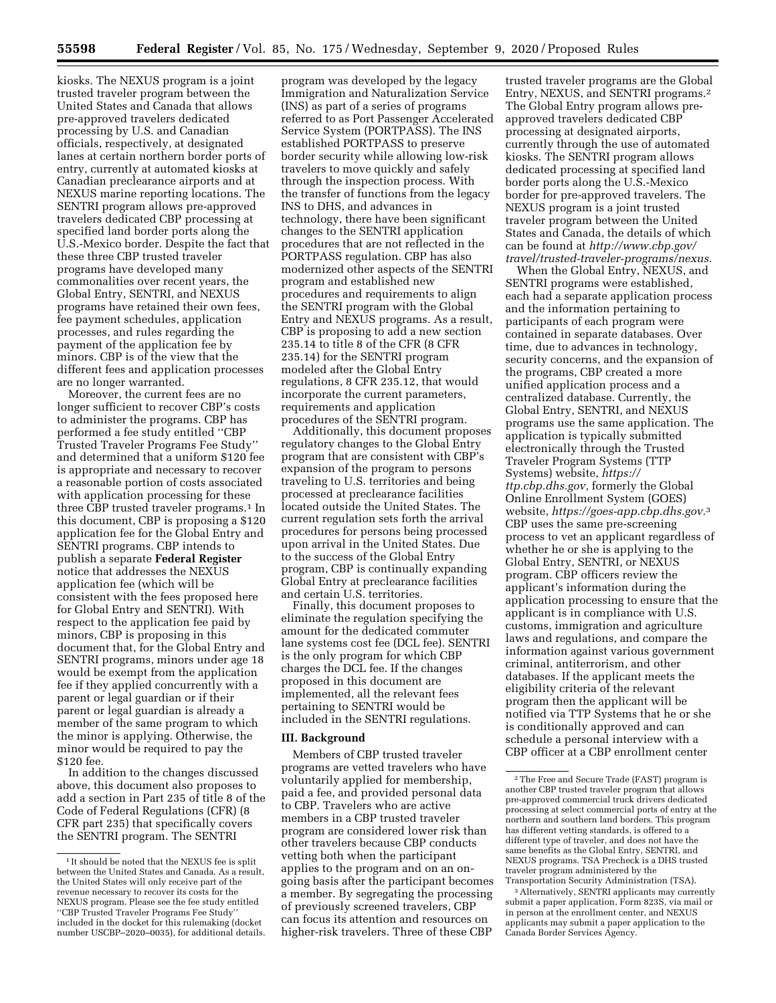kiosks. The NEXUS program is a joint trusted traveler program between the United States and Canada that allows pre-approved travelers dedicated processing by U.S. and Canadian officials, respectively, at designated lanes at certain northern border ports of entry, currently at automated kiosks at Canadian preclearance airports and at NEXUS marine reporting locations. The SENTRI program allows pre-approved travelers dedicated CBP processing at specified land border ports along the U.S.-Mexico border. Despite the fact that these three CBP trusted traveler programs have developed many commonalities over recent years, the Global Entry, SENTRI, and NEXUS programs have retained their own fees, fee payment schedules, application processes, and rules regarding the payment of the application fee by minors. CBP is of the view that the different fees and application processes are no longer warranted.

Moreover, the current fees are no longer sufficient to recover CBP's costs to administer the programs. CBP has performed a fee study entitled ''CBP Trusted Traveler Programs Fee Study'' and determined that a uniform \$120 fee is appropriate and necessary to recover a reasonable portion of costs associated with application processing for these three CBP trusted traveler programs.<sup>1</sup> In this document, CBP is proposing a \$120 application fee for the Global Entry and SENTRI programs. CBP intends to publish a separate **Federal Register**  notice that addresses the NEXUS application fee (which will be consistent with the fees proposed here for Global Entry and SENTRI). With respect to the application fee paid by minors, CBP is proposing in this document that, for the Global Entry and SENTRI programs, minors under age 18 would be exempt from the application fee if they applied concurrently with a parent or legal guardian or if their parent or legal guardian is already a member of the same program to which the minor is applying. Otherwise, the minor would be required to pay the \$120 fee.

In addition to the changes discussed above, this document also proposes to add a section in Part 235 of title 8 of the Code of Federal Regulations (CFR) (8 CFR part 235) that specifically covers the SENTRI program. The SENTRI

program was developed by the legacy Immigration and Naturalization Service (INS) as part of a series of programs referred to as Port Passenger Accelerated Service System (PORTPASS). The INS established PORTPASS to preserve border security while allowing low-risk travelers to move quickly and safely through the inspection process. With the transfer of functions from the legacy INS to DHS, and advances in technology, there have been significant changes to the SENTRI application procedures that are not reflected in the PORTPASS regulation. CBP has also modernized other aspects of the SENTRI program and established new procedures and requirements to align the SENTRI program with the Global Entry and NEXUS programs. As a result, CBP is proposing to add a new section 235.14 to title 8 of the CFR (8 CFR 235.14) for the SENTRI program modeled after the Global Entry regulations, 8 CFR 235.12, that would incorporate the current parameters, requirements and application procedures of the SENTRI program.

Additionally, this document proposes regulatory changes to the Global Entry program that are consistent with CBP's expansion of the program to persons traveling to U.S. territories and being processed at preclearance facilities located outside the United States. The current regulation sets forth the arrival procedures for persons being processed upon arrival in the United States. Due to the success of the Global Entry program, CBP is continually expanding Global Entry at preclearance facilities and certain U.S. territories.

Finally, this document proposes to eliminate the regulation specifying the amount for the dedicated commuter lane systems cost fee (DCL fee). SENTRI is the only program for which CBP charges the DCL fee. If the changes proposed in this document are implemented, all the relevant fees pertaining to SENTRI would be included in the SENTRI regulations.

#### **III. Background**

Members of CBP trusted traveler programs are vetted travelers who have voluntarily applied for membership, paid a fee, and provided personal data to CBP. Travelers who are active members in a CBP trusted traveler program are considered lower risk than other travelers because CBP conducts vetting both when the participant applies to the program and on an ongoing basis after the participant becomes a member. By segregating the processing of previously screened travelers, CBP can focus its attention and resources on higher-risk travelers. Three of these CBP

trusted traveler programs are the Global Entry, NEXUS, and SENTRI programs.2 The Global Entry program allows preapproved travelers dedicated CBP processing at designated airports, currently through the use of automated kiosks. The SENTRI program allows dedicated processing at specified land border ports along the U.S.-Mexico border for pre-approved travelers. The NEXUS program is a joint trusted traveler program between the United States and Canada, the details of which can be found at *[http://www.cbp.gov/](http://www.cbp.gov/travel/trusted-traveler-programs/nexus)  [travel/trusted-traveler-programs/nexus.](http://www.cbp.gov/travel/trusted-traveler-programs/nexus)* 

When the Global Entry, NEXUS, and SENTRI programs were established, each had a separate application process and the information pertaining to participants of each program were contained in separate databases. Over time, due to advances in technology, security concerns, and the expansion of the programs, CBP created a more unified application process and a centralized database. Currently, the Global Entry, SENTRI, and NEXUS programs use the same application. The application is typically submitted electronically through the Trusted Traveler Program Systems (TTP Systems) website, *[https://](https://ttp.cbp.dhs.gov) [ttp.cbp.dhs.gov,](https://ttp.cbp.dhs.gov)* formerly the Global Online Enrollment System (GOES) website, *[https://goes-app.cbp.dhs.gov.](https://goes-app.cbp.dhs.gov)*3 CBP uses the same pre-screening process to vet an applicant regardless of whether he or she is applying to the Global Entry, SENTRI, or NEXUS program. CBP officers review the applicant's information during the application processing to ensure that the applicant is in compliance with U.S. customs, immigration and agriculture laws and regulations, and compare the information against various government criminal, antiterrorism, and other databases. If the applicant meets the eligibility criteria of the relevant program then the applicant will be notified via TTP Systems that he or she is conditionally approved and can schedule a personal interview with a CBP officer at a CBP enrollment center

<sup>1</sup> It should be noted that the NEXUS fee is split between the United States and Canada. As a result, the United States will only receive part of the revenue necessary to recover its costs for the NEXUS program. Please see the fee study entitled ''CBP Trusted Traveler Programs Fee Study'' included in the docket for this rulemaking (docket number USCBP–2020–0035), for additional details.

<sup>2</sup>The Free and Secure Trade (FAST) program is another CBP trusted traveler program that allows pre-approved commercial truck drivers dedicated processing at select commercial ports of entry at the northern and southern land borders. This program has different vetting standards, is offered to a different type of traveler, and does not have the same benefits as the Global Entry, SENTRI, and NEXUS programs. TSA Precheck is a DHS trusted traveler program administered by the Transportation Security Administration (TSA).

<sup>3</sup>Alternatively, SENTRI applicants may currently submit a paper application, Form 823S, via mail or in person at the enrollment center, and NEXUS applicants may submit a paper application to the Canada Border Services Agency.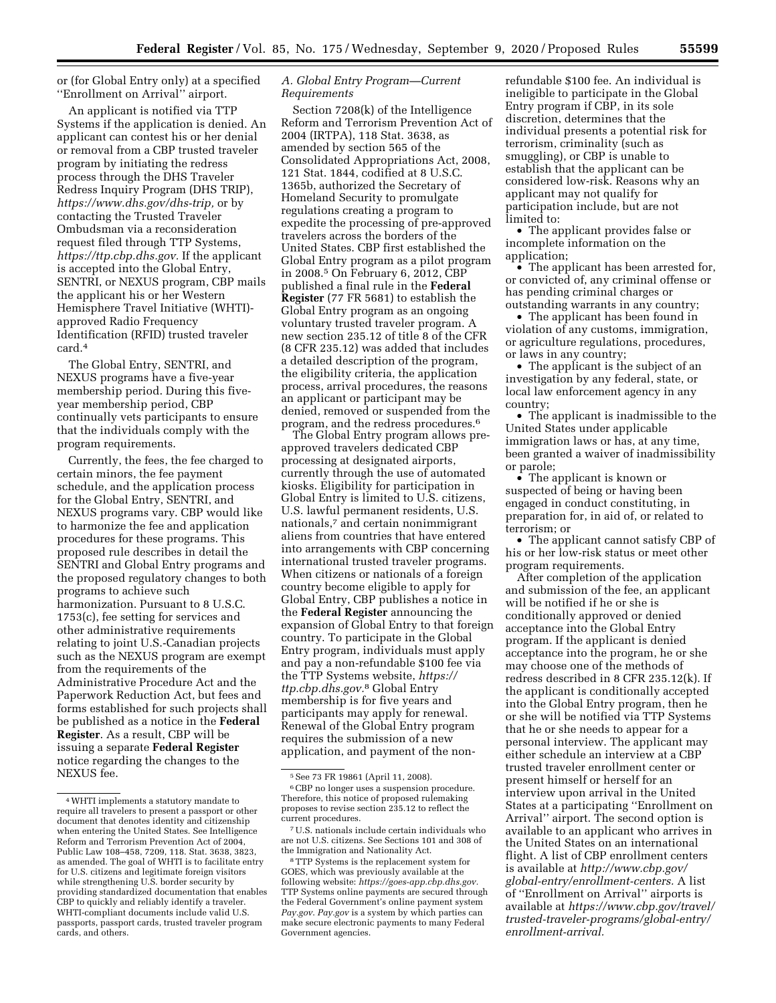or (for Global Entry only) at a specified ''Enrollment on Arrival'' airport.

An applicant is notified via TTP Systems if the application is denied. An applicant can contest his or her denial or removal from a CBP trusted traveler program by initiating the redress process through the DHS Traveler Redress Inquiry Program (DHS TRIP), *[https://www.dhs.gov/dhs-trip,](https://www.dhs.gov/dhs-trip)* or by contacting the Trusted Traveler Ombudsman via a reconsideration request filed through TTP Systems, *[https://ttp.cbp.dhs.gov.](https://ttp.cbp.dhs.gov)* If the applicant is accepted into the Global Entry, SENTRI, or NEXUS program, CBP mails the applicant his or her Western Hemisphere Travel Initiative (WHTI) approved Radio Frequency Identification (RFID) trusted traveler card.4

The Global Entry, SENTRI, and NEXUS programs have a five-year membership period. During this fiveyear membership period, CBP continually vets participants to ensure that the individuals comply with the program requirements.

Currently, the fees, the fee charged to certain minors, the fee payment schedule, and the application process for the Global Entry, SENTRI, and NEXUS programs vary. CBP would like to harmonize the fee and application procedures for these programs. This proposed rule describes in detail the SENTRI and Global Entry programs and the proposed regulatory changes to both programs to achieve such harmonization. Pursuant to 8 U.S.C. 1753(c), fee setting for services and other administrative requirements relating to joint U.S.-Canadian projects such as the NEXUS program are exempt from the requirements of the Administrative Procedure Act and the Paperwork Reduction Act, but fees and forms established for such projects shall be published as a notice in the **Federal Register**. As a result, CBP will be issuing a separate **Federal Register**  notice regarding the changes to the NEXUS fee.

# *A. Global Entry Program—Current Requirements*

Section 7208(k) of the Intelligence Reform and Terrorism Prevention Act of 2004 (IRTPA), 118 Stat. 3638, as amended by section 565 of the Consolidated Appropriations Act, 2008, 121 Stat. 1844, codified at 8 U.S.C. 1365b, authorized the Secretary of Homeland Security to promulgate regulations creating a program to expedite the processing of pre-approved travelers across the borders of the United States. CBP first established the Global Entry program as a pilot program in 2008.5 On February 6, 2012, CBP published a final rule in the **Federal Register** (77 FR 5681) to establish the Global Entry program as an ongoing voluntary trusted traveler program. A new section 235.12 of title 8 of the CFR (8 CFR 235.12) was added that includes a detailed description of the program, the eligibility criteria, the application process, arrival procedures, the reasons an applicant or participant may be denied, removed or suspended from the program, and the redress procedures.6

The Global Entry program allows preapproved travelers dedicated CBP processing at designated airports, currently through the use of automated kiosks. Eligibility for participation in Global Entry is limited to U.S. citizens, U.S. lawful permanent residents, U.S. nationals,7 and certain nonimmigrant aliens from countries that have entered into arrangements with CBP concerning international trusted traveler programs. When citizens or nationals of a foreign country become eligible to apply for Global Entry, CBP publishes a notice in the **Federal Register** announcing the expansion of Global Entry to that foreign country. To participate in the Global Entry program, individuals must apply and pay a non-refundable \$100 fee via the TTP Systems website, *[https://](https://ttp.cbp.dhs.gov)  [ttp.cbp.dhs.gov.](https://ttp.cbp.dhs.gov)*8 Global Entry membership is for five years and participants may apply for renewal. Renewal of the Global Entry program requires the submission of a new application, and payment of the nonrefundable \$100 fee. An individual is ineligible to participate in the Global Entry program if CBP, in its sole discretion, determines that the individual presents a potential risk for terrorism, criminality (such as smuggling), or CBP is unable to establish that the applicant can be considered low-risk. Reasons why an applicant may not qualify for participation include, but are not limited to:

• The applicant provides false or incomplete information on the application;

• The applicant has been arrested for, or convicted of, any criminal offense or has pending criminal charges or outstanding warrants in any country;

• The applicant has been found in violation of any customs, immigration, or agriculture regulations, procedures, or laws in any country;

• The applicant is the subject of an investigation by any federal, state, or local law enforcement agency in any country;

• The applicant is inadmissible to the United States under applicable immigration laws or has, at any time, been granted a waiver of inadmissibility or parole;

• The applicant is known or suspected of being or having been engaged in conduct constituting, in preparation for, in aid of, or related to terrorism; or

• The applicant cannot satisfy CBP of his or her low-risk status or meet other program requirements.

After completion of the application and submission of the fee, an applicant will be notified if he or she is conditionally approved or denied acceptance into the Global Entry program. If the applicant is denied acceptance into the program, he or she may choose one of the methods of redress described in 8 CFR 235.12(k). If the applicant is conditionally accepted into the Global Entry program, then he or she will be notified via TTP Systems that he or she needs to appear for a personal interview. The applicant may either schedule an interview at a CBP trusted traveler enrollment center or present himself or herself for an interview upon arrival in the United States at a participating ''Enrollment on Arrival'' airport. The second option is available to an applicant who arrives in the United States on an international flight. A list of CBP enrollment centers is available at *[http://www.cbp.gov/](http://www.cbp.gov/global-entry/enrollment-centers)  [global-entry/enrollment-centers.](http://www.cbp.gov/global-entry/enrollment-centers)* A list of ''Enrollment on Arrival'' airports is available at *[https://www.cbp.gov/travel/](https://www.cbp.gov/travel/trusted-traveler-programs/global-entry/enrollment-arrival) [trusted-traveler-programs/global-entry/](https://www.cbp.gov/travel/trusted-traveler-programs/global-entry/enrollment-arrival)  [enrollment-arrival.](https://www.cbp.gov/travel/trusted-traveler-programs/global-entry/enrollment-arrival)* 

<sup>4</sup>WHTI implements a statutory mandate to require all travelers to present a passport or other document that denotes identity and citizenship when entering the United States. See Intelligence Reform and Terrorism Prevention Act of 2004, Public Law 108–458, 7209, 118. Stat. 3638, 3823, as amended. The goal of WHTI is to facilitate entry for U.S. citizens and legitimate foreign visitors while strengthening U.S. border security by providing standardized documentation that enables CBP to quickly and reliably identify a traveler. WHTI-compliant documents include valid U.S. passports, passport cards, trusted traveler program cards, and others.

<sup>5</sup>See 73 FR 19861 (April 11, 2008).

<sup>6</sup>CBP no longer uses a suspension procedure. Therefore, this notice of proposed rulemaking proposes to revise section 235.12 to reflect the current procedures.

<sup>7</sup>U.S. nationals include certain individuals who are not U.S. citizens. See Sections 101 and 308 of the Immigration and Nationality Act.

<sup>8</sup>TTP Systems is the replacement system for GOES, which was previously available at the following website: *[https://goes-app.cbp.dhs.gov.](https://goes-app.cbp.dhs.gov)*  TTP Systems online payments are secured through the Federal Government's online payment system *Pay.gov*. *Pay.gov* is a system by which parties can make secure electronic payments to many Federal Government agencies.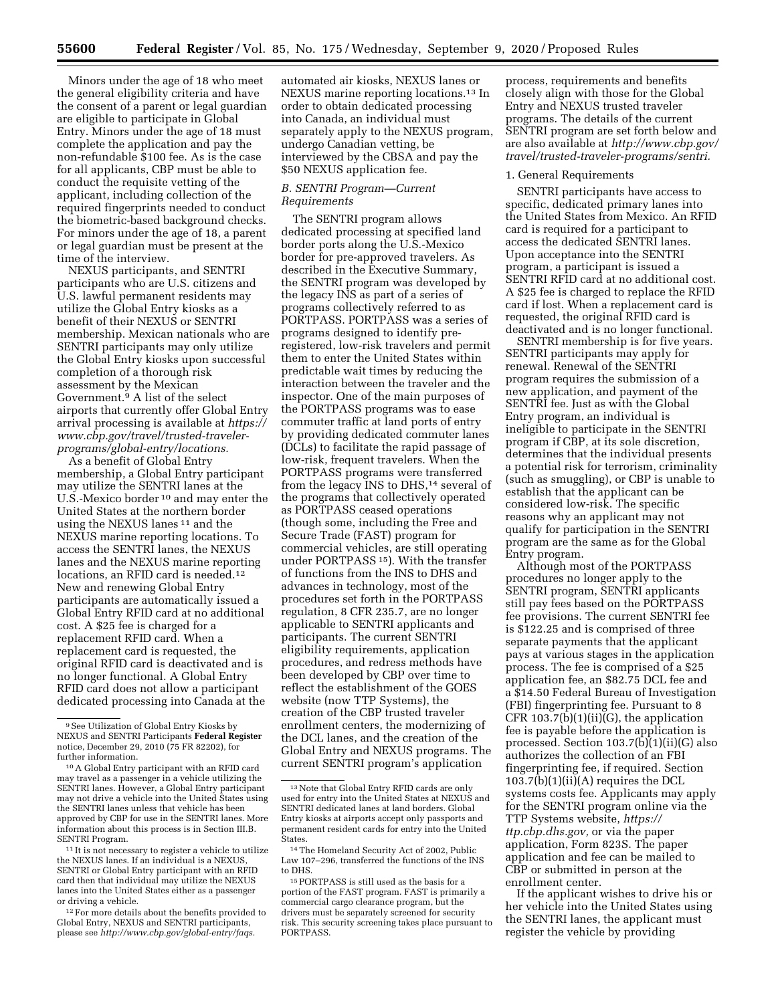Minors under the age of 18 who meet the general eligibility criteria and have the consent of a parent or legal guardian are eligible to participate in Global Entry. Minors under the age of 18 must complete the application and pay the non-refundable \$100 fee. As is the case for all applicants, CBP must be able to conduct the requisite vetting of the applicant, including collection of the required fingerprints needed to conduct the biometric-based background checks. For minors under the age of 18, a parent or legal guardian must be present at the time of the interview.

NEXUS participants, and SENTRI participants who are U.S. citizens and U.S. lawful permanent residents may utilize the Global Entry kiosks as a benefit of their NEXUS or SENTRI membership. Mexican nationals who are SENTRI participants may only utilize the Global Entry kiosks upon successful completion of a thorough risk assessment by the Mexican Government.9 A list of the select airports that currently offer Global Entry arrival processing is available at *[https://](https://www.cbp.gov/travel/trusted-traveler-programs/global-entry/locations) [www.cbp.gov/travel/trusted-traveler](https://www.cbp.gov/travel/trusted-traveler-programs/global-entry/locations)[programs/global-entry/locations.](https://www.cbp.gov/travel/trusted-traveler-programs/global-entry/locations)* 

As a benefit of Global Entry membership, a Global Entry participant may utilize the SENTRI lanes at the U.S.-Mexico border 10 and may enter the United States at the northern border using the NEXUS lanes 11 and the NEXUS marine reporting locations. To access the SENTRI lanes, the NEXUS lanes and the NEXUS marine reporting locations, an RFID card is needed.<sup>12</sup> New and renewing Global Entry participants are automatically issued a Global Entry RFID card at no additional cost. A \$25 fee is charged for a replacement RFID card. When a replacement card is requested, the original RFID card is deactivated and is no longer functional. A Global Entry RFID card does not allow a participant dedicated processing into Canada at the

11 It is not necessary to register a vehicle to utilize the NEXUS lanes. If an individual is a NEXUS, SENTRI or Global Entry participant with an RFID card then that individual may utilize the NEXUS lanes into the United States either as a passenger or driving a vehicle.

 $^{12}\mathrm{For}$  more details about the benefits provided to Global Entry, NEXUS and SENTRI participants, please see *[http://www.cbp.gov/global-entry/faqs.](http://www.cbp.gov/global-entry/faqs)* 

automated air kiosks, NEXUS lanes or NEXUS marine reporting locations.13 In order to obtain dedicated processing into Canada, an individual must separately apply to the NEXUS program, undergo Canadian vetting, be interviewed by the CBSA and pay the \$50 NEXUS application fee.

## *B. SENTRI Program—Current Requirements*

The SENTRI program allows dedicated processing at specified land border ports along the U.S.-Mexico border for pre-approved travelers. As described in the Executive Summary, the SENTRI program was developed by the legacy INS as part of a series of programs collectively referred to as PORTPASS. PORTPASS was a series of programs designed to identify preregistered, low-risk travelers and permit them to enter the United States within predictable wait times by reducing the interaction between the traveler and the inspector. One of the main purposes of the PORTPASS programs was to ease commuter traffic at land ports of entry by providing dedicated commuter lanes (DCLs) to facilitate the rapid passage of low-risk, frequent travelers. When the PORTPASS programs were transferred from the legacy INS to DHS,<sup>14</sup> several of the programs that collectively operated as PORTPASS ceased operations (though some, including the Free and Secure Trade (FAST) program for commercial vehicles, are still operating under PORTPASS 15). With the transfer of functions from the INS to DHS and advances in technology, most of the procedures set forth in the PORTPASS regulation, 8 CFR 235.7, are no longer applicable to SENTRI applicants and participants. The current SENTRI eligibility requirements, application procedures, and redress methods have been developed by CBP over time to reflect the establishment of the GOES website (now TTP Systems), the creation of the CBP trusted traveler enrollment centers, the modernizing of the DCL lanes, and the creation of the Global Entry and NEXUS programs. The current SENTRI program's application

process, requirements and benefits closely align with those for the Global Entry and NEXUS trusted traveler programs. The details of the current SENTRI program are set forth below and are also available at *[http://www.cbp.gov/](http://www.cbp.gov/travel/trusted-traveler-programs/sentri) [travel/trusted-traveler-programs/sentri.](http://www.cbp.gov/travel/trusted-traveler-programs/sentri)* 

#### 1. General Requirements

SENTRI participants have access to specific, dedicated primary lanes into the United States from Mexico. An RFID card is required for a participant to access the dedicated SENTRI lanes. Upon acceptance into the SENTRI program, a participant is issued a SENTRI RFID card at no additional cost. A \$25 fee is charged to replace the RFID card if lost. When a replacement card is requested, the original RFID card is deactivated and is no longer functional.

SENTRI membership is for five years. SENTRI participants may apply for renewal. Renewal of the SENTRI program requires the submission of a new application, and payment of the SENTRI fee. Just as with the Global Entry program, an individual is ineligible to participate in the SENTRI program if CBP, at its sole discretion, determines that the individual presents a potential risk for terrorism, criminality (such as smuggling), or CBP is unable to establish that the applicant can be considered low-risk. The specific reasons why an applicant may not qualify for participation in the SENTRI program are the same as for the Global Entry program.

Although most of the PORTPASS procedures no longer apply to the SENTRI program, SENTRI applicants still pay fees based on the PORTPASS fee provisions. The current SENTRI fee is \$122.25 and is comprised of three separate payments that the applicant pays at various stages in the application process. The fee is comprised of a \$25 application fee, an \$82.75 DCL fee and a \$14.50 Federal Bureau of Investigation (FBI) fingerprinting fee. Pursuant to 8 CFR  $103.7(b)(1)(ii)(G)$ , the application fee is payable before the application is processed. Section 103.7(b)(1)(ii)(G) also authorizes the collection of an FBI fingerprinting fee, if required. Section  $103.7(b)(1)(ii)(A)$  requires the DCL systems costs fee. Applicants may apply for the SENTRI program online via the TTP Systems website, *[https://](https://ttp.cbp.dhs.gov) [ttp.cbp.dhs.gov,](https://ttp.cbp.dhs.gov)* or via the paper application, Form 823S. The paper application and fee can be mailed to CBP or submitted in person at the enrollment center.

If the applicant wishes to drive his or her vehicle into the United States using the SENTRI lanes, the applicant must register the vehicle by providing

<sup>9</sup>See Utilization of Global Entry Kiosks by NEXUS and SENTRI Participants **Federal Register**  notice, December 29, 2010 (75 FR 82202), for further information.

<sup>10</sup>A Global Entry participant with an RFID card may travel as a passenger in a vehicle utilizing the SENTRI lanes. However, a Global Entry participant may not drive a vehicle into the United States using the SENTRI lanes unless that vehicle has been approved by CBP for use in the SENTRI lanes. More information about this process is in Section III.B. SENTRI Program.

<sup>13</sup>Note that Global Entry RFID cards are only used for entry into the United States at NEXUS and SENTRI dedicated lanes at land borders. Global Entry kiosks at airports accept only passports and permanent resident cards for entry into the United States.

<sup>14</sup>The Homeland Security Act of 2002, Public Law 107–296, transferred the functions of the INS to DHS.

<sup>15</sup>PORTPASS is still used as the basis for a portion of the FAST program. FAST is primarily a commercial cargo clearance program, but the drivers must be separately screened for security risk. This security screening takes place pursuant to PORTPASS.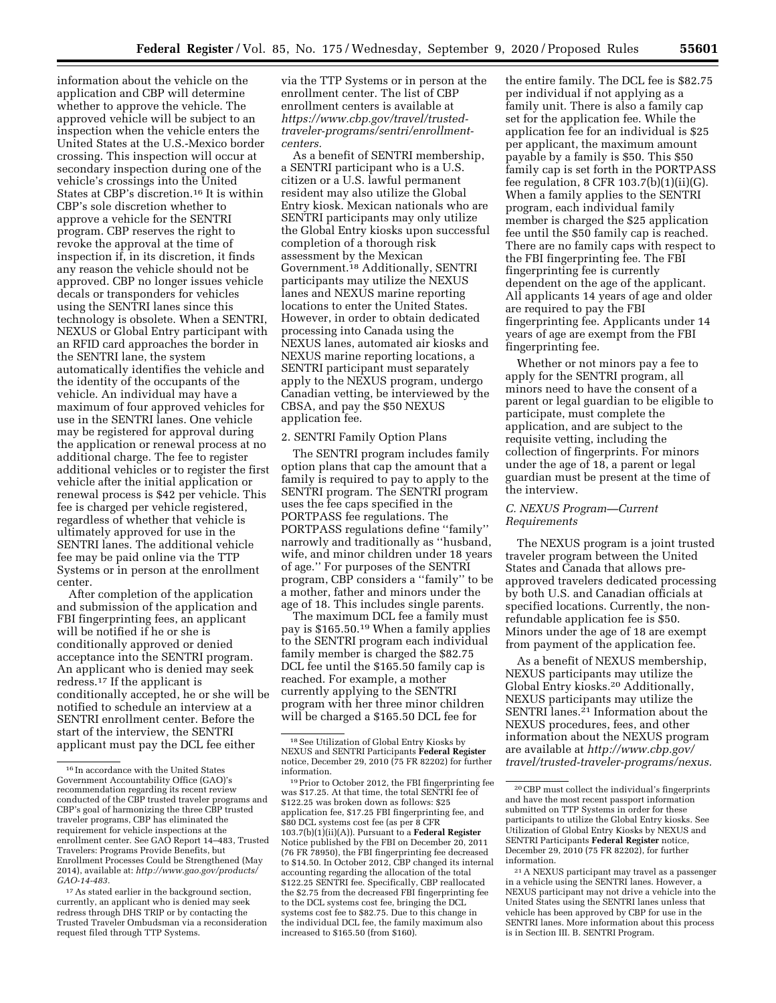information about the vehicle on the application and CBP will determine whether to approve the vehicle. The approved vehicle will be subject to an inspection when the vehicle enters the United States at the U.S.-Mexico border crossing. This inspection will occur at secondary inspection during one of the vehicle's crossings into the United States at CBP's discretion.16 It is within CBP's sole discretion whether to approve a vehicle for the SENTRI program. CBP reserves the right to revoke the approval at the time of inspection if, in its discretion, it finds any reason the vehicle should not be approved. CBP no longer issues vehicle decals or transponders for vehicles using the SENTRI lanes since this technology is obsolete. When a SENTRI, NEXUS or Global Entry participant with an RFID card approaches the border in the SENTRI lane, the system automatically identifies the vehicle and the identity of the occupants of the vehicle. An individual may have a maximum of four approved vehicles for use in the SENTRI lanes. One vehicle may be registered for approval during the application or renewal process at no additional charge. The fee to register additional vehicles or to register the first vehicle after the initial application or renewal process is \$42 per vehicle. This fee is charged per vehicle registered, regardless of whether that vehicle is ultimately approved for use in the SENTRI lanes. The additional vehicle fee may be paid online via the TTP Systems or in person at the enrollment center.

After completion of the application and submission of the application and FBI fingerprinting fees, an applicant will be notified if he or she is conditionally approved or denied acceptance into the SENTRI program. An applicant who is denied may seek redress.17 If the applicant is conditionally accepted, he or she will be notified to schedule an interview at a SENTRI enrollment center. Before the start of the interview, the SENTRI applicant must pay the DCL fee either

via the TTP Systems or in person at the enrollment center. The list of CBP enrollment centers is available at *[https://www.cbp.gov/travel/trusted](https://www.cbp.gov/travel/trusted-traveler-programs/sentri/enrollment-centers)[traveler-programs/sentri/enrollment](https://www.cbp.gov/travel/trusted-traveler-programs/sentri/enrollment-centers)[centers](https://www.cbp.gov/travel/trusted-traveler-programs/sentri/enrollment-centers).* 

As a benefit of SENTRI membership, a SENTRI participant who is a U.S. citizen or a U.S. lawful permanent resident may also utilize the Global Entry kiosk. Mexican nationals who are SENTRI participants may only utilize the Global Entry kiosks upon successful completion of a thorough risk assessment by the Mexican Government.18 Additionally, SENTRI participants may utilize the NEXUS lanes and NEXUS marine reporting locations to enter the United States. However, in order to obtain dedicated processing into Canada using the NEXUS lanes, automated air kiosks and NEXUS marine reporting locations, a SENTRI participant must separately apply to the NEXUS program, undergo Canadian vetting, be interviewed by the CBSA, and pay the \$50 NEXUS application fee.

## 2. SENTRI Family Option Plans

The SENTRI program includes family option plans that cap the amount that a family is required to pay to apply to the SENTRI program. The SENTRI program uses the fee caps specified in the PORTPASS fee regulations. The PORTPASS regulations define ''family'' narrowly and traditionally as ''husband, wife, and minor children under 18 years of age.'' For purposes of the SENTRI program, CBP considers a ''family'' to be a mother, father and minors under the age of 18. This includes single parents.

The maximum DCL fee a family must pay is \$165.50.19 When a family applies to the SENTRI program each individual family member is charged the \$82.75 DCL fee until the \$165.50 family cap is reached. For example, a mother currently applying to the SENTRI program with her three minor children will be charged a \$165.50 DCL fee for

the entire family. The DCL fee is \$82.75 per individual if not applying as a family unit. There is also a family cap set for the application fee. While the application fee for an individual is \$25 per applicant, the maximum amount payable by a family is \$50. This \$50 family cap is set forth in the PORTPASS fee regulation,  $8$  CFR 103.7(b)(1)(ii)(G). When a family applies to the SENTRI program, each individual family member is charged the \$25 application fee until the \$50 family cap is reached. There are no family caps with respect to the FBI fingerprinting fee. The FBI fingerprinting fee is currently dependent on the age of the applicant. All applicants 14 years of age and older are required to pay the FBI fingerprinting fee. Applicants under 14 years of age are exempt from the FBI fingerprinting fee.

Whether or not minors pay a fee to apply for the SENTRI program, all minors need to have the consent of a parent or legal guardian to be eligible to participate, must complete the application, and are subject to the requisite vetting, including the collection of fingerprints. For minors under the age of 18, a parent or legal guardian must be present at the time of the interview.

## *C. NEXUS Program—Current Requirements*

The NEXUS program is a joint trusted traveler program between the United States and Canada that allows preapproved travelers dedicated processing by both U.S. and Canadian officials at specified locations. Currently, the nonrefundable application fee is \$50. Minors under the age of 18 are exempt from payment of the application fee.

As a benefit of NEXUS membership, NEXUS participants may utilize the Global Entry kiosks.20 Additionally, NEXUS participants may utilize the SENTRI lanes.<sup>21</sup> Information about the NEXUS procedures, fees, and other information about the NEXUS program are available at *[http://www.cbp.gov/](http://www.cbp.gov/travel/trusted-traveler-programs/nexus) [travel/trusted-traveler-programs/nexus.](http://www.cbp.gov/travel/trusted-traveler-programs/nexus)* 

<sup>16</sup> In accordance with the United States Government Accountability Office (GAO)'s recommendation regarding its recent review conducted of the CBP trusted traveler programs and CBP's goal of harmonizing the three CBP trusted traveler programs, CBP has eliminated the requirement for vehicle inspections at the enrollment center. See GAO Report 14–483, Trusted Travelers: Programs Provide Benefits, but Enrollment Processes Could be Strengthened (May 2014), available at: *[http://www.gao.gov/products/](http://www.gao.gov/products/GAO-14-483)  [GAO-14-483.](http://www.gao.gov/products/GAO-14-483)* 

<sup>17</sup>As stated earlier in the background section, currently, an applicant who is denied may seek redress through DHS TRIP or by contacting the Trusted Traveler Ombudsman via a reconsideration request filed through TTP Systems.

<sup>18</sup>See Utilization of Global Entry Kiosks by NEXUS and SENTRI Participants **Federal Register**  notice, December 29, 2010 (75 FR 82202) for further

<sup>&</sup>lt;sup>19</sup> Prior to October 2012, the FBI fingerprinting fee was \$17.25. At that time, the total SENTRI fee of \$122.25 was broken down as follows: \$25 application fee, \$17.25 FBI fingerprinting fee, and \$80 DCL systems cost fee (as per 8 CFR 103.7(b)(1)(ii)(A)). Pursuant to a **Federal Register**  Notice published by the FBI on December 20, 2011 (76 FR 78950), the FBI fingerprinting fee decreased to \$14.50. In October 2012, CBP changed its internal accounting regarding the allocation of the total \$122.25 SENTRI fee. Specifically, CBP reallocated the \$2.75 from the decreased FBI fingerprinting fee to the DCL systems cost fee, bringing the DCL systems cost fee to \$82.75. Due to this change in the individual DCL fee, the family maximum also increased to \$165.50 (from \$160).

<sup>20</sup>CBP must collect the individual's fingerprints and have the most recent passport information submitted on TTP Systems in order for these participants to utilize the Global Entry kiosks. See Utilization of Global Entry Kiosks by NEXUS and SENTRI Participants **Federal Register** notice, December 29, 2010 (75 FR 82202), for further information.

<sup>21</sup>A NEXUS participant may travel as a passenger in a vehicle using the SENTRI lanes. However, a NEXUS participant may not drive a vehicle into the United States using the SENTRI lanes unless that vehicle has been approved by CBP for use in the SENTRI lanes. More information about this process is in Section III. B. SENTRI Program.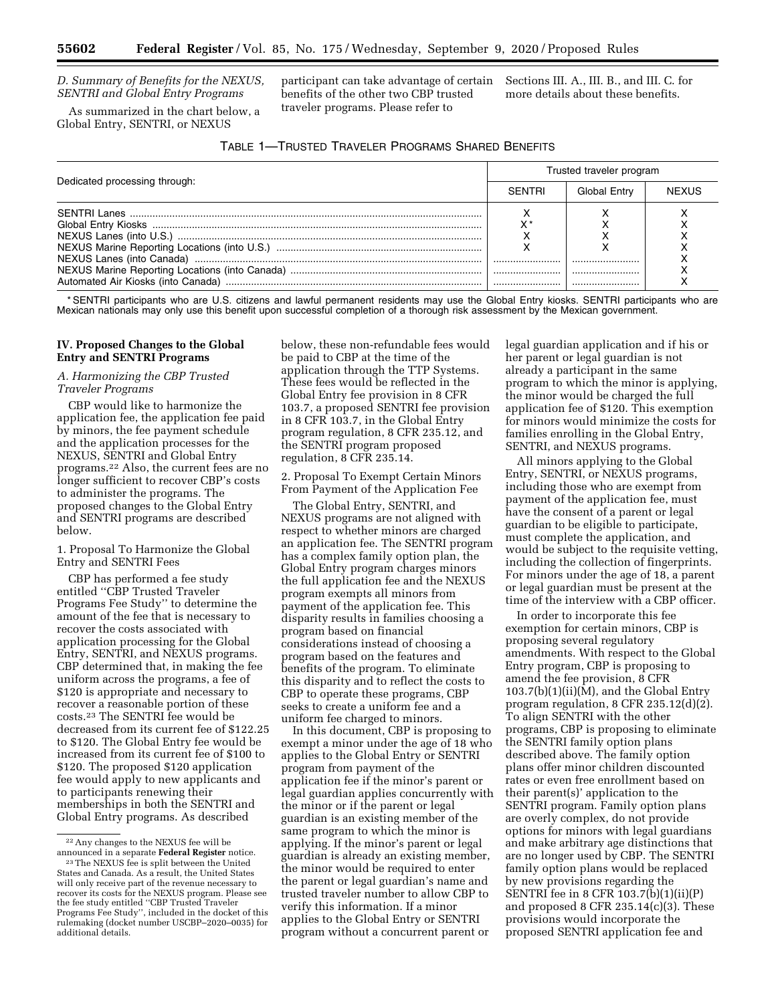## *D. Summary of Benefits for the NEXUS, SENTRI and Global Entry Programs*

As summarized in the chart below, a Global Entry, SENTRI, or NEXUS

participant can take advantage of certain benefits of the other two CBP trusted traveler programs. Please refer to

Sections III. A., III. B., and III. C. for more details about these benefits.

| Table 1—Trusted Traveler Programs Shared Benefits |  |
|---------------------------------------------------|--|
|---------------------------------------------------|--|

|                               | Trusted traveler program |              |              |
|-------------------------------|--------------------------|--------------|--------------|
| Dedicated processing through: |                          | Global Entry | <b>NEXUS</b> |
|                               |                          |              |              |
|                               |                          |              |              |
|                               |                          |              |              |
|                               |                          |              |              |
|                               |                          |              |              |
|                               |                          |              |              |
|                               |                          |              |              |

\* SENTRI participants who are U.S. citizens and lawful permanent residents may use the Global Entry kiosks. SENTRI participants who are Mexican nationals may only use this benefit upon successful completion of a thorough risk assessment by the Mexican government.

## **IV. Proposed Changes to the Global Entry and SENTRI Programs**

## *A. Harmonizing the CBP Trusted Traveler Programs*

CBP would like to harmonize the application fee, the application fee paid by minors, the fee payment schedule and the application processes for the NEXUS, SENTRI and Global Entry programs.22 Also, the current fees are no longer sufficient to recover CBP's costs to administer the programs. The proposed changes to the Global Entry and SENTRI programs are described below.

1. Proposal To Harmonize the Global Entry and SENTRI Fees

CBP has performed a fee study entitled ''CBP Trusted Traveler Programs Fee Study'' to determine the amount of the fee that is necessary to recover the costs associated with application processing for the Global Entry, SENTRI, and NEXUS programs. CBP determined that, in making the fee uniform across the programs, a fee of \$120 is appropriate and necessary to recover a reasonable portion of these costs.23 The SENTRI fee would be decreased from its current fee of \$122.25 to \$120. The Global Entry fee would be increased from its current fee of \$100 to \$120. The proposed \$120 application fee would apply to new applicants and to participants renewing their memberships in both the SENTRI and Global Entry programs. As described

below, these non-refundable fees would be paid to CBP at the time of the application through the TTP Systems. These fees would be reflected in the Global Entry fee provision in 8 CFR 103.7, a proposed SENTRI fee provision in 8 CFR 103.7, in the Global Entry program regulation, 8 CFR 235.12, and the SENTRI program proposed regulation, 8 CFR 235.14.

2. Proposal To Exempt Certain Minors From Payment of the Application Fee

The Global Entry, SENTRI, and NEXUS programs are not aligned with respect to whether minors are charged an application fee. The SENTRI program has a complex family option plan, the Global Entry program charges minors the full application fee and the NEXUS program exempts all minors from payment of the application fee. This disparity results in families choosing a program based on financial considerations instead of choosing a program based on the features and benefits of the program. To eliminate this disparity and to reflect the costs to CBP to operate these programs, CBP seeks to create a uniform fee and a uniform fee charged to minors.

In this document, CBP is proposing to exempt a minor under the age of 18 who applies to the Global Entry or SENTRI program from payment of the application fee if the minor's parent or legal guardian applies concurrently with the minor or if the parent or legal guardian is an existing member of the same program to which the minor is applying. If the minor's parent or legal guardian is already an existing member, the minor would be required to enter the parent or legal guardian's name and trusted traveler number to allow CBP to verify this information. If a minor applies to the Global Entry or SENTRI program without a concurrent parent or

legal guardian application and if his or her parent or legal guardian is not already a participant in the same program to which the minor is applying, the minor would be charged the full application fee of \$120. This exemption for minors would minimize the costs for families enrolling in the Global Entry, SENTRI, and NEXUS programs.

All minors applying to the Global Entry, SENTRI, or NEXUS programs, including those who are exempt from payment of the application fee, must have the consent of a parent or legal guardian to be eligible to participate, must complete the application, and would be subject to the requisite vetting, including the collection of fingerprints. For minors under the age of 18, a parent or legal guardian must be present at the time of the interview with a CBP officer.

In order to incorporate this fee exemption for certain minors, CBP is proposing several regulatory amendments. With respect to the Global Entry program, CBP is proposing to amend the fee provision, 8 CFR 103.7(b)(1)(ii)(M), and the Global Entry program regulation, 8 CFR 235.12(d)(2). To align SENTRI with the other programs, CBP is proposing to eliminate the SENTRI family option plans described above. The family option plans offer minor children discounted rates or even free enrollment based on their parent(s)' application to the SENTRI program. Family option plans are overly complex, do not provide options for minors with legal guardians and make arbitrary age distinctions that are no longer used by CBP. The SENTRI family option plans would be replaced by new provisions regarding the SENTRI fee in 8 CFR 103.7(b)(1)(ii)(P) and proposed 8 CFR 235.14(c)(3). These provisions would incorporate the proposed SENTRI application fee and

 $^{22}$  Any changes to the NEXUS fee will be announced in a separate **Federal Register** notice.

<sup>&</sup>lt;sup>23</sup> The NEXUS fee is split between the United States and Canada. As a result, the United States will only receive part of the revenue necessary to recover its costs for the NEXUS program. Please see the fee study entitled ''CBP Trusted Traveler Programs Fee Study'', included in the docket of this rulemaking (docket number USCBP–2020–0035) for additional details.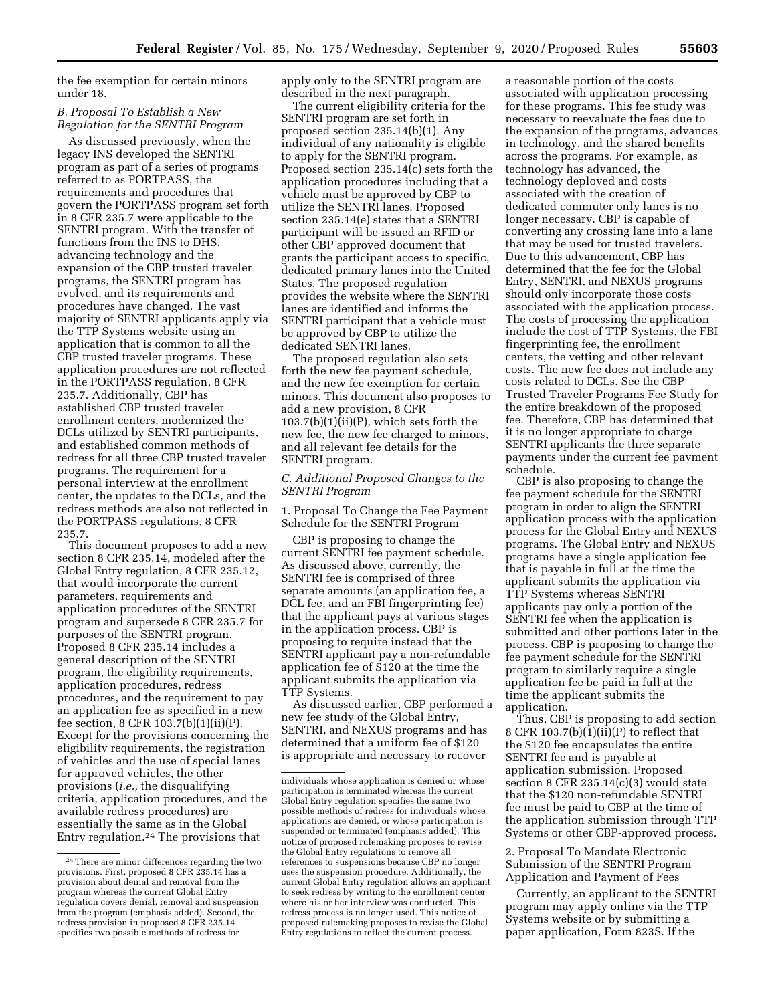the fee exemption for certain minors under 18.

## *B. Proposal To Establish a New Regulation for the SENTRI Program*

As discussed previously, when the legacy INS developed the SENTRI program as part of a series of programs referred to as PORTPASS, the requirements and procedures that govern the PORTPASS program set forth in 8 CFR 235.7 were applicable to the SENTRI program. With the transfer of functions from the INS to DHS, advancing technology and the expansion of the CBP trusted traveler programs, the SENTRI program has evolved, and its requirements and procedures have changed. The vast majority of SENTRI applicants apply via the TTP Systems website using an application that is common to all the CBP trusted traveler programs. These application procedures are not reflected in the PORTPASS regulation, 8 CFR 235.7. Additionally, CBP has established CBP trusted traveler enrollment centers, modernized the DCLs utilized by SENTRI participants, and established common methods of redress for all three CBP trusted traveler programs. The requirement for a personal interview at the enrollment center, the updates to the DCLs, and the redress methods are also not reflected in the PORTPASS regulations, 8 CFR 235.7.

This document proposes to add a new section 8 CFR 235.14, modeled after the Global Entry regulation, 8 CFR 235.12, that would incorporate the current parameters, requirements and application procedures of the SENTRI program and supersede 8 CFR 235.7 for purposes of the SENTRI program. Proposed 8 CFR 235.14 includes a general description of the SENTRI program, the eligibility requirements, application procedures, redress procedures, and the requirement to pay an application fee as specified in a new fee section, 8 CFR 103.7(b)(1)(ii)(P). Except for the provisions concerning the eligibility requirements, the registration of vehicles and the use of special lanes for approved vehicles, the other provisions (*i.e.,* the disqualifying criteria, application procedures, and the available redress procedures) are essentially the same as in the Global Entry regulation.24 The provisions that

apply only to the SENTRI program are described in the next paragraph.

The current eligibility criteria for the SENTRI program are set forth in proposed section 235.14(b)(1). Any individual of any nationality is eligible to apply for the SENTRI program. Proposed section 235.14(c) sets forth the application procedures including that a vehicle must be approved by CBP to utilize the SENTRI lanes. Proposed section 235.14(e) states that a SENTRI participant will be issued an RFID or other CBP approved document that grants the participant access to specific, dedicated primary lanes into the United States. The proposed regulation provides the website where the SENTRI lanes are identified and informs the SENTRI participant that a vehicle must be approved by CBP to utilize the dedicated SENTRI lanes.

The proposed regulation also sets forth the new fee payment schedule, and the new fee exemption for certain minors. This document also proposes to add a new provision, 8 CFR 103.7(b)(1)(ii)(P), which sets forth the new fee, the new fee charged to minors, and all relevant fee details for the SENTRI program.

# *C. Additional Proposed Changes to the SENTRI Program*

1. Proposal To Change the Fee Payment Schedule for the SENTRI Program

CBP is proposing to change the current SENTRI fee payment schedule. As discussed above, currently, the SENTRI fee is comprised of three separate amounts (an application fee, a DCL fee, and an FBI fingerprinting fee) that the applicant pays at various stages in the application process. CBP is proposing to require instead that the SENTRI applicant pay a non-refundable application fee of \$120 at the time the applicant submits the application via TTP Systems.

As discussed earlier, CBP performed a new fee study of the Global Entry, SENTRI, and NEXUS programs and has determined that a uniform fee of \$120 is appropriate and necessary to recover

a reasonable portion of the costs associated with application processing for these programs. This fee study was necessary to reevaluate the fees due to the expansion of the programs, advances in technology, and the shared benefits across the programs. For example, as technology has advanced, the technology deployed and costs associated with the creation of dedicated commuter only lanes is no longer necessary. CBP is capable of converting any crossing lane into a lane that may be used for trusted travelers. Due to this advancement, CBP has determined that the fee for the Global Entry, SENTRI, and NEXUS programs should only incorporate those costs associated with the application process. The costs of processing the application include the cost of TTP Systems, the FBI fingerprinting fee, the enrollment centers, the vetting and other relevant costs. The new fee does not include any costs related to DCLs. See the CBP Trusted Traveler Programs Fee Study for the entire breakdown of the proposed fee. Therefore, CBP has determined that it is no longer appropriate to charge SENTRI applicants the three separate payments under the current fee payment schedule.

CBP is also proposing to change the fee payment schedule for the SENTRI program in order to align the SENTRI application process with the application process for the Global Entry and NEXUS programs. The Global Entry and NEXUS programs have a single application fee that is payable in full at the time the applicant submits the application via TTP Systems whereas SENTRI applicants pay only a portion of the SENTRI fee when the application is submitted and other portions later in the process. CBP is proposing to change the fee payment schedule for the SENTRI program to similarly require a single application fee be paid in full at the time the applicant submits the application.

Thus, CBP is proposing to add section 8 CFR 103.7(b) $(i)$  $(i)$  $(i)$  to reflect that the \$120 fee encapsulates the entire SENTRI fee and is payable at application submission. Proposed section 8 CFR 235.14(c)(3) would state that the \$120 non-refundable SENTRI fee must be paid to CBP at the time of the application submission through TTP Systems or other CBP-approved process.

2. Proposal To Mandate Electronic Submission of the SENTRI Program Application and Payment of Fees

Currently, an applicant to the SENTRI program may apply online via the TTP Systems website or by submitting a paper application, Form 823S. If the

<sup>24</sup>There are minor differences regarding the two provisions. First, proposed 8 CFR 235.14 has a provision about denial and removal from the program whereas the current Global Entry regulation covers denial, removal and suspension from the program (emphasis added). Second, the redress provision in proposed 8 CFR 235.14 specifies two possible methods of redress for

individuals whose application is denied or whose participation is terminated whereas the current Global Entry regulation specifies the same two possible methods of redress for individuals whose applications are denied, or whose participation is suspended or terminated (emphasis added). This notice of proposed rulemaking proposes to revise the Global Entry regulations to remove all references to suspensions because CBP no longer uses the suspension procedure. Additionally, the current Global Entry regulation allows an applicant to seek redress by writing to the enrollment center where his or her interview was conducted. This redress process is no longer used. This notice of proposed rulemaking proposes to revise the Global Entry regulations to reflect the current process.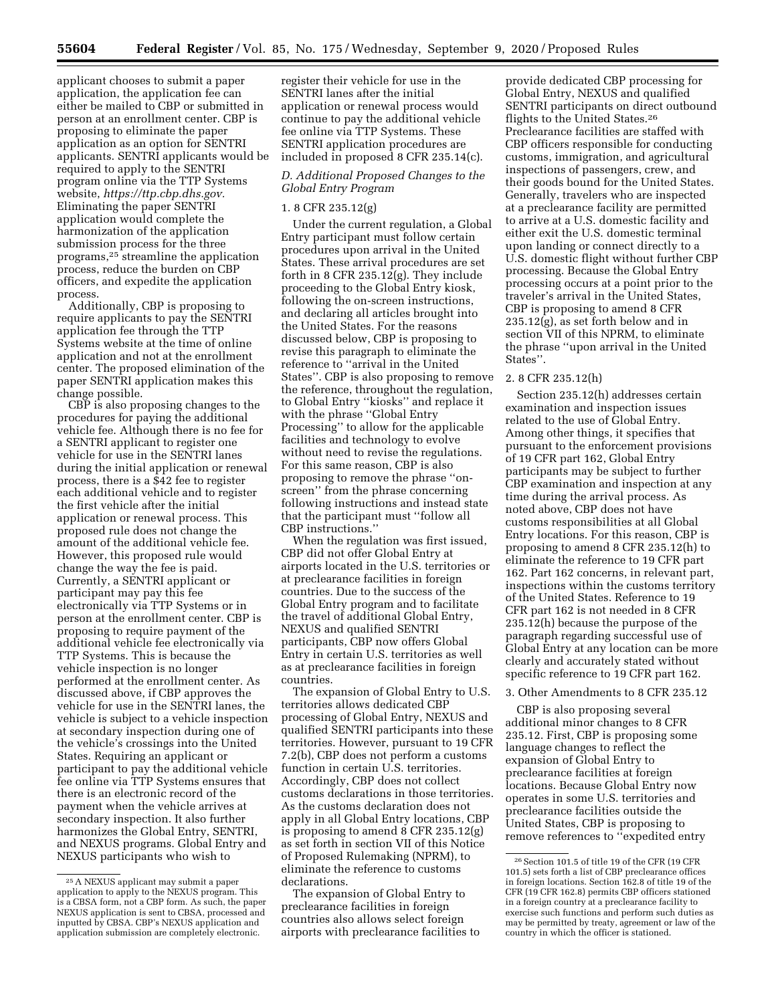applicant chooses to submit a paper application, the application fee can either be mailed to CBP or submitted in person at an enrollment center. CBP is proposing to eliminate the paper application as an option for SENTRI applicants. SENTRI applicants would be required to apply to the SENTRI program online via the TTP Systems website, *[https://ttp.cbp.dhs.gov.](https://ttp.cbp.dhs.gov)*  Eliminating the paper SENTRI application would complete the harmonization of the application submission process for the three programs,25 streamline the application process, reduce the burden on CBP officers, and expedite the application process.

Additionally, CBP is proposing to require applicants to pay the SENTRI application fee through the TTP Systems website at the time of online application and not at the enrollment center. The proposed elimination of the paper SENTRI application makes this change possible.

CBP is also proposing changes to the procedures for paying the additional vehicle fee. Although there is no fee for a SENTRI applicant to register one vehicle for use in the SENTRI lanes during the initial application or renewal process, there is a \$42 fee to register each additional vehicle and to register the first vehicle after the initial application or renewal process. This proposed rule does not change the amount of the additional vehicle fee. However, this proposed rule would change the way the fee is paid. Currently, a SENTRI applicant or participant may pay this fee electronically via TTP Systems or in person at the enrollment center. CBP is proposing to require payment of the additional vehicle fee electronically via TTP Systems. This is because the vehicle inspection is no longer performed at the enrollment center. As discussed above, if CBP approves the vehicle for use in the SENTRI lanes, the vehicle is subject to a vehicle inspection at secondary inspection during one of the vehicle's crossings into the United States. Requiring an applicant or participant to pay the additional vehicle fee online via TTP Systems ensures that there is an electronic record of the payment when the vehicle arrives at secondary inspection. It also further harmonizes the Global Entry, SENTRI, and NEXUS programs. Global Entry and NEXUS participants who wish to

register their vehicle for use in the SENTRI lanes after the initial application or renewal process would continue to pay the additional vehicle fee online via TTP Systems. These SENTRI application procedures are included in proposed 8 CFR 235.14(c).

# *D. Additional Proposed Changes to the Global Entry Program*

## 1. 8 CFR 235.12(g)

Under the current regulation, a Global Entry participant must follow certain procedures upon arrival in the United States. These arrival procedures are set forth in 8 CFR 235.12(g). They include proceeding to the Global Entry kiosk, following the on-screen instructions, and declaring all articles brought into the United States. For the reasons discussed below, CBP is proposing to revise this paragraph to eliminate the reference to ''arrival in the United States''. CBP is also proposing to remove the reference, throughout the regulation, to Global Entry ''kiosks'' and replace it with the phrase "Global Entry Processing'' to allow for the applicable facilities and technology to evolve without need to revise the regulations. For this same reason, CBP is also proposing to remove the phrase ''onscreen'' from the phrase concerning following instructions and instead state that the participant must ''follow all CBP instructions.''

When the regulation was first issued, CBP did not offer Global Entry at airports located in the U.S. territories or at preclearance facilities in foreign countries. Due to the success of the Global Entry program and to facilitate the travel of additional Global Entry, NEXUS and qualified SENTRI participants, CBP now offers Global Entry in certain U.S. territories as well as at preclearance facilities in foreign countries.

The expansion of Global Entry to U.S. territories allows dedicated CBP processing of Global Entry, NEXUS and qualified SENTRI participants into these territories. However, pursuant to 19 CFR 7.2(b), CBP does not perform a customs function in certain U.S. territories. Accordingly, CBP does not collect customs declarations in those territories. As the customs declaration does not apply in all Global Entry locations, CBP is proposing to amend 8 CFR 235.12(g) as set forth in section VII of this Notice of Proposed Rulemaking (NPRM), to eliminate the reference to customs declarations.

The expansion of Global Entry to preclearance facilities in foreign countries also allows select foreign airports with preclearance facilities to

provide dedicated CBP processing for Global Entry, NEXUS and qualified SENTRI participants on direct outbound flights to the United States.26 Preclearance facilities are staffed with CBP officers responsible for conducting customs, immigration, and agricultural inspections of passengers, crew, and their goods bound for the United States. Generally, travelers who are inspected at a preclearance facility are permitted to arrive at a U.S. domestic facility and either exit the U.S. domestic terminal upon landing or connect directly to a U.S. domestic flight without further CBP processing. Because the Global Entry processing occurs at a point prior to the traveler's arrival in the United States, CBP is proposing to amend 8 CFR 235.12(g), as set forth below and in section VII of this NPRM, to eliminate the phrase ''upon arrival in the United States''.

# 2. 8 CFR 235.12(h)

Section 235.12(h) addresses certain examination and inspection issues related to the use of Global Entry. Among other things, it specifies that pursuant to the enforcement provisions of 19 CFR part 162, Global Entry participants may be subject to further CBP examination and inspection at any time during the arrival process. As noted above, CBP does not have customs responsibilities at all Global Entry locations. For this reason, CBP is proposing to amend 8 CFR 235.12(h) to eliminate the reference to 19 CFR part 162. Part 162 concerns, in relevant part, inspections within the customs territory of the United States. Reference to 19 CFR part 162 is not needed in 8 CFR 235.12(h) because the purpose of the paragraph regarding successful use of Global Entry at any location can be more clearly and accurately stated without specific reference to 19 CFR part 162.

#### 3. Other Amendments to 8 CFR 235.12

CBP is also proposing several additional minor changes to 8 CFR 235.12. First, CBP is proposing some language changes to reflect the expansion of Global Entry to preclearance facilities at foreign locations. Because Global Entry now operates in some U.S. territories and preclearance facilities outside the United States, CBP is proposing to remove references to ''expedited entry

<sup>25</sup>A NEXUS applicant may submit a paper application to apply to the NEXUS program. This is a CBSA form, not a CBP form. As such, the paper NEXUS application is sent to CBSA, processed and inputted by CBSA. CBP's NEXUS application and application submission are completely electronic.

<sup>26</sup>Section 101.5 of title 19 of the CFR (19 CFR 101.5) sets forth a list of CBP preclearance offices in foreign locations. Section 162.8 of title 19 of the CFR (19 CFR 162.8) permits CBP officers stationed in a foreign country at a preclearance facility to exercise such functions and perform such duties as may be permitted by treaty, agreement or law of the country in which the officer is stationed.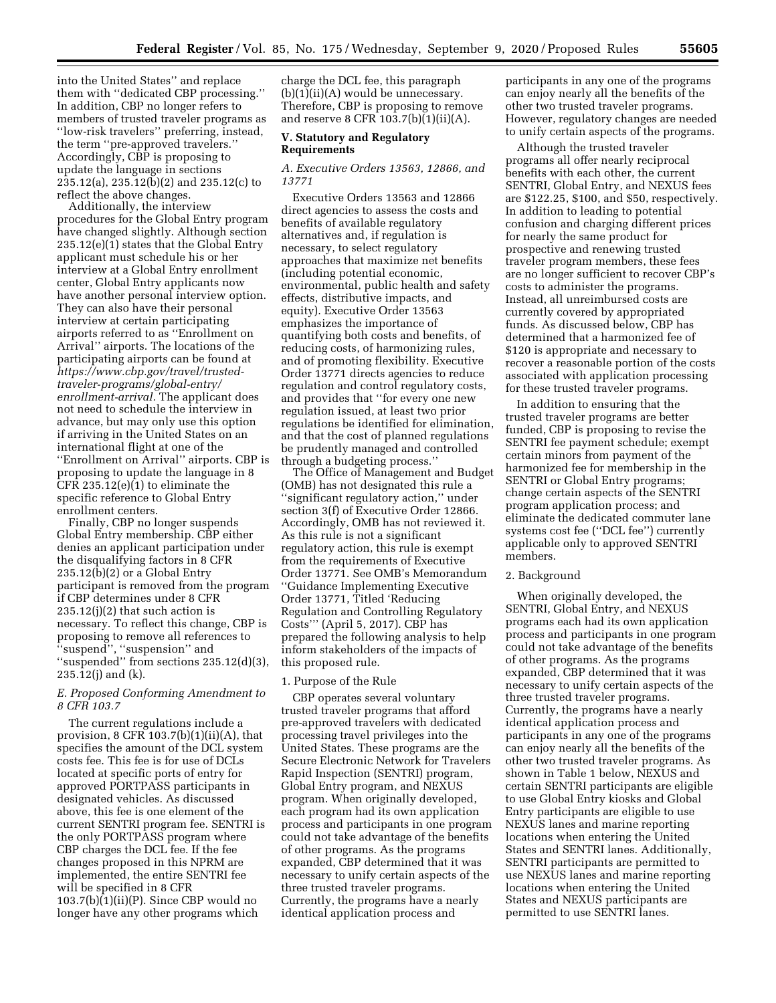into the United States'' and replace them with ''dedicated CBP processing.'' In addition, CBP no longer refers to members of trusted traveler programs as ''low-risk travelers'' preferring, instead, the term ''pre-approved travelers.'' Accordingly, CBP is proposing to update the language in sections 235.12(a), 235.12(b)(2) and 235.12(c) to reflect the above changes.

Additionally, the interview procedures for the Global Entry program have changed slightly. Although section 235.12(e)(1) states that the Global Entry applicant must schedule his or her interview at a Global Entry enrollment center, Global Entry applicants now have another personal interview option. They can also have their personal interview at certain participating airports referred to as ''Enrollment on Arrival'' airports. The locations of the participating airports can be found at *[https://www.cbp.gov/travel/trusted](https://www.cbp.gov/travel/trusted-traveler-programs/global-entry/enrollment-arrival)[traveler-programs/global-entry/](https://www.cbp.gov/travel/trusted-traveler-programs/global-entry/enrollment-arrival)  [enrollment-arrival.](https://www.cbp.gov/travel/trusted-traveler-programs/global-entry/enrollment-arrival)* The applicant does not need to schedule the interview in advance, but may only use this option if arriving in the United States on an international flight at one of the ''Enrollment on Arrival'' airports. CBP is proposing to update the language in 8 CFR 235.12(e)(1) to eliminate the specific reference to Global Entry enrollment centers.

Finally, CBP no longer suspends Global Entry membership. CBP either denies an applicant participation under the disqualifying factors in 8 CFR 235.12(b)(2) or a Global Entry participant is removed from the program if CBP determines under 8 CFR  $235.12(j)(2)$  that such action is necessary. To reflect this change, CBP is proposing to remove all references to ''suspend'', ''suspension'' and ''suspended'' from sections 235.12(d)(3), 235.12(j) and (k).

## *E. Proposed Conforming Amendment to 8 CFR 103.7*

The current regulations include a provision, 8 CFR  $103.7(b)(1)(ii)(A)$ , that specifies the amount of the DCL system costs fee. This fee is for use of DCLs located at specific ports of entry for approved PORTPASS participants in designated vehicles. As discussed above, this fee is one element of the current SENTRI program fee. SENTRI is the only PORTPASS program where CBP charges the DCL fee. If the fee changes proposed in this NPRM are implemented, the entire SENTRI fee will be specified in 8 CFR 103.7(b)(1)(ii)(P). Since CBP would no longer have any other programs which

charge the DCL fee, this paragraph  $(b)(1)(ii)(A)$  would be unnecessary. Therefore, CBP is proposing to remove and reserve 8 CFR 103.7(b)(1)(ii)(A).

## **V. Statutory and Regulatory Requirements**

#### *A. Executive Orders 13563, 12866, and 13771*

Executive Orders 13563 and 12866 direct agencies to assess the costs and benefits of available regulatory alternatives and, if regulation is necessary, to select regulatory approaches that maximize net benefits (including potential economic, environmental, public health and safety effects, distributive impacts, and equity). Executive Order 13563 emphasizes the importance of quantifying both costs and benefits, of reducing costs, of harmonizing rules, and of promoting flexibility. Executive Order 13771 directs agencies to reduce regulation and control regulatory costs, and provides that ''for every one new regulation issued, at least two prior regulations be identified for elimination, and that the cost of planned regulations be prudently managed and controlled through a budgeting process.''

The Office of Management and Budget (OMB) has not designated this rule a ''significant regulatory action,'' under section 3(f) of Executive Order 12866. Accordingly, OMB has not reviewed it. As this rule is not a significant regulatory action, this rule is exempt from the requirements of Executive Order 13771. See OMB's Memorandum ''Guidance Implementing Executive Order 13771, Titled 'Reducing Regulation and Controlling Regulatory Costs''' (April 5, 2017). CBP has prepared the following analysis to help inform stakeholders of the impacts of this proposed rule.

#### 1. Purpose of the Rule

CBP operates several voluntary trusted traveler programs that afford pre-approved travelers with dedicated processing travel privileges into the United States. These programs are the Secure Electronic Network for Travelers Rapid Inspection (SENTRI) program, Global Entry program, and NEXUS program. When originally developed, each program had its own application process and participants in one program could not take advantage of the benefits of other programs. As the programs expanded, CBP determined that it was necessary to unify certain aspects of the three trusted traveler programs. Currently, the programs have a nearly identical application process and

participants in any one of the programs can enjoy nearly all the benefits of the other two trusted traveler programs. However, regulatory changes are needed to unify certain aspects of the programs.

Although the trusted traveler programs all offer nearly reciprocal benefits with each other, the current SENTRI, Global Entry, and NEXUS fees are \$122.25, \$100, and \$50, respectively. In addition to leading to potential confusion and charging different prices for nearly the same product for prospective and renewing trusted traveler program members, these fees are no longer sufficient to recover CBP's costs to administer the programs. Instead, all unreimbursed costs are currently covered by appropriated funds. As discussed below, CBP has determined that a harmonized fee of \$120 is appropriate and necessary to recover a reasonable portion of the costs associated with application processing for these trusted traveler programs.

In addition to ensuring that the trusted traveler programs are better funded, CBP is proposing to revise the SENTRI fee payment schedule; exempt certain minors from payment of the harmonized fee for membership in the SENTRI or Global Entry programs; change certain aspects of the SENTRI program application process; and eliminate the dedicated commuter lane systems cost fee (''DCL fee'') currently applicable only to approved SENTRI members.

## 2. Background

When originally developed, the SENTRI, Global Entry, and NEXUS programs each had its own application process and participants in one program could not take advantage of the benefits of other programs. As the programs expanded, CBP determined that it was necessary to unify certain aspects of the three trusted traveler programs. Currently, the programs have a nearly identical application process and participants in any one of the programs can enjoy nearly all the benefits of the other two trusted traveler programs. As shown in Table 1 below, NEXUS and certain SENTRI participants are eligible to use Global Entry kiosks and Global Entry participants are eligible to use NEXUS lanes and marine reporting locations when entering the United States and SENTRI lanes. Additionally, SENTRI participants are permitted to use NEXUS lanes and marine reporting locations when entering the United States and NEXUS participants are permitted to use SENTRI lanes.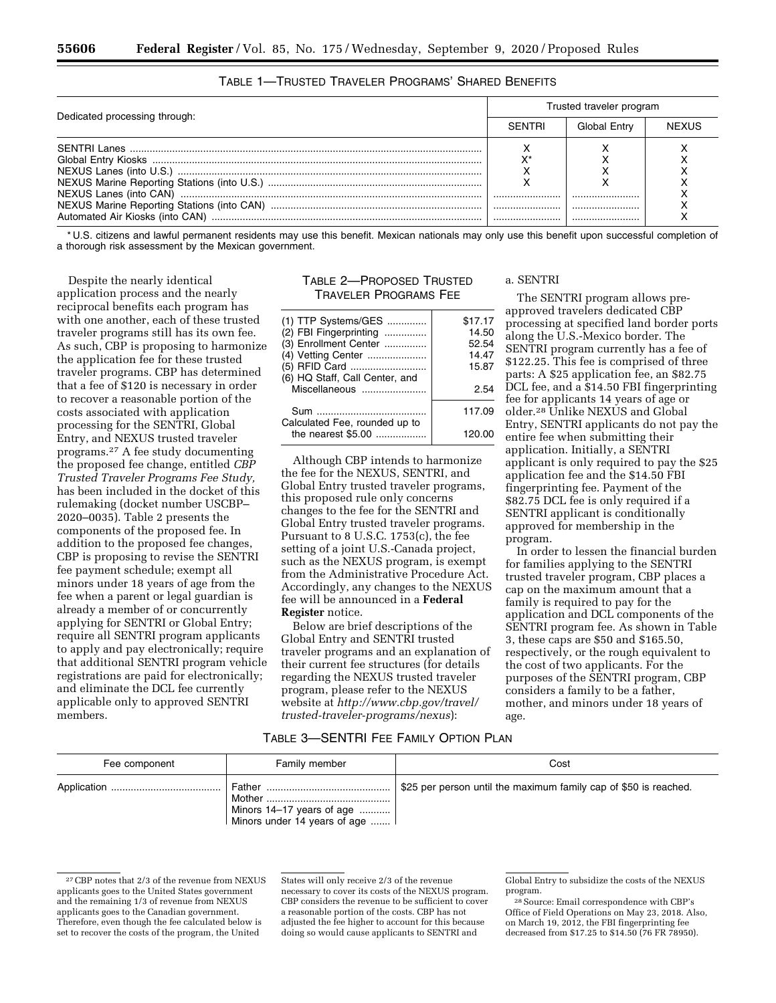|                               |               | Trusted traveler program |              |  |
|-------------------------------|---------------|--------------------------|--------------|--|
| Dedicated processing through: | <b>SENTRI</b> | Global Entry             | <b>NEXUS</b> |  |
|                               |               |                          |              |  |
|                               |               |                          |              |  |
|                               |               |                          |              |  |
|                               |               |                          |              |  |
|                               |               |                          |              |  |
|                               |               |                          |              |  |
|                               |               |                          |              |  |

| TABLE 1-TRUSTED TRAVELER PROGRAMS' SHARED BENEFITS |
|----------------------------------------------------|
|----------------------------------------------------|

\* U.S. citizens and lawful permanent residents may use this benefit. Mexican nationals may only use this benefit upon successful completion of a thorough risk assessment by the Mexican government.

Despite the nearly identical application process and the nearly reciprocal benefits each program has with one another, each of these trusted traveler programs still has its own fee. As such, CBP is proposing to harmonize the application fee for these trusted traveler programs. CBP has determined that a fee of \$120 is necessary in order to recover a reasonable portion of the costs associated with application processing for the SENTRI, Global Entry, and NEXUS trusted traveler programs.27 A fee study documenting the proposed fee change, entitled *CBP Trusted Traveler Programs Fee Study,*  has been included in the docket of this rulemaking (docket number USCBP– 2020–0035). Table 2 presents the components of the proposed fee. In addition to the proposed fee changes, CBP is proposing to revise the SENTRI fee payment schedule; exempt all minors under 18 years of age from the fee when a parent or legal guardian is already a member of or concurrently applying for SENTRI or Global Entry; require all SENTRI program applicants to apply and pay electronically; require that additional SENTRI program vehicle registrations are paid for electronically; and eliminate the DCL fee currently applicable only to approved SENTRI members.

# TABLE 2—PROPOSED TRUSTED TRAVELER PROGRAMS FEE

| (1) TTP Systems/GES                                 | \$17.17 |
|-----------------------------------------------------|---------|
| (2) FBI Fingerprinting                              | 14.50   |
| (3) Enrollment Center                               | 52.54   |
| (4) Vetting Center                                  | 14.47   |
| (5) RFID Card                                       | 15.87   |
| (6) HQ Staff, Call Center, and                      |         |
| Miscellaneous                                       | 2.54    |
| Sum                                                 | 117.09  |
| Calculated Fee, rounded up to<br>the nearest \$5.00 | 120.00  |
|                                                     |         |

Although CBP intends to harmonize the fee for the NEXUS, SENTRI, and Global Entry trusted traveler programs, this proposed rule only concerns changes to the fee for the SENTRI and Global Entry trusted traveler programs. Pursuant to 8 U.S.C. 1753(c), the fee setting of a joint U.S.-Canada project, such as the NEXUS program, is exempt from the Administrative Procedure Act. Accordingly, any changes to the NEXUS fee will be announced in a **Federal Register** notice.

Below are brief descriptions of the Global Entry and SENTRI trusted traveler programs and an explanation of their current fee structures (for details regarding the NEXUS trusted traveler program, please refer to the NEXUS website at *[http://www.cbp.gov/travel/](http://www.cbp.gov/travel/trusted-traveler-programs/nexus)  [trusted-traveler-programs/nexus](http://www.cbp.gov/travel/trusted-traveler-programs/nexus)*):

## a. SENTRI

The SENTRI program allows preapproved travelers dedicated CBP processing at specified land border ports along the U.S.-Mexico border. The SENTRI program currently has a fee of \$122.25. This fee is comprised of three parts: A \$25 application fee, an \$82.75 DCL fee, and a \$14.50 FBI fingerprinting fee for applicants 14 years of age or older.28 Unlike NEXUS and Global Entry, SENTRI applicants do not pay the entire fee when submitting their application. Initially, a SENTRI applicant is only required to pay the \$25 application fee and the \$14.50 FBI fingerprinting fee. Payment of the \$82.75 DCL fee is only required if a SENTRI applicant is conditionally approved for membership in the program.

In order to lessen the financial burden for families applying to the SENTRI trusted traveler program, CBP places a cap on the maximum amount that a family is required to pay for the application and DCL components of the SENTRI program fee. As shown in Table 3, these caps are \$50 and \$165.50, respectively, or the rough equivalent to the cost of two applicants. For the purposes of the SENTRI program, CBP considers a family to be a father, mother, and minors under 18 years of age.

# TABLE 3—SENTRI FEE FAMILY OPTION PLAN

| Fee component | Family member                                                         | Cost                                                             |
|---------------|-----------------------------------------------------------------------|------------------------------------------------------------------|
|               | Father<br>Minors $14-17$ years of age<br>Minors under 14 years of age | \$25 per person until the maximum family cap of \$50 is reached. |

<sup>27</sup>CBP notes that 2/3 of the revenue from NEXUS applicants goes to the United States government and the remaining 1/3 of revenue from NEXUS applicants goes to the Canadian government. Therefore, even though the fee calculated below is set to recover the costs of the program, the United

States will only receive 2/3 of the revenue necessary to cover its costs of the NEXUS program. CBP considers the revenue to be sufficient to cover a reasonable portion of the costs. CBP has not adjusted the fee higher to account for this because doing so would cause applicants to SENTRI and

Global Entry to subsidize the costs of the NEXUS program.

<sup>28</sup>Source: Email correspondence with CBP's Office of Field Operations on May 23, 2018. Also, on March 19, 2012, the FBI fingerprinting fee decreased from \$17.25 to \$14.50 (76 FR 78950).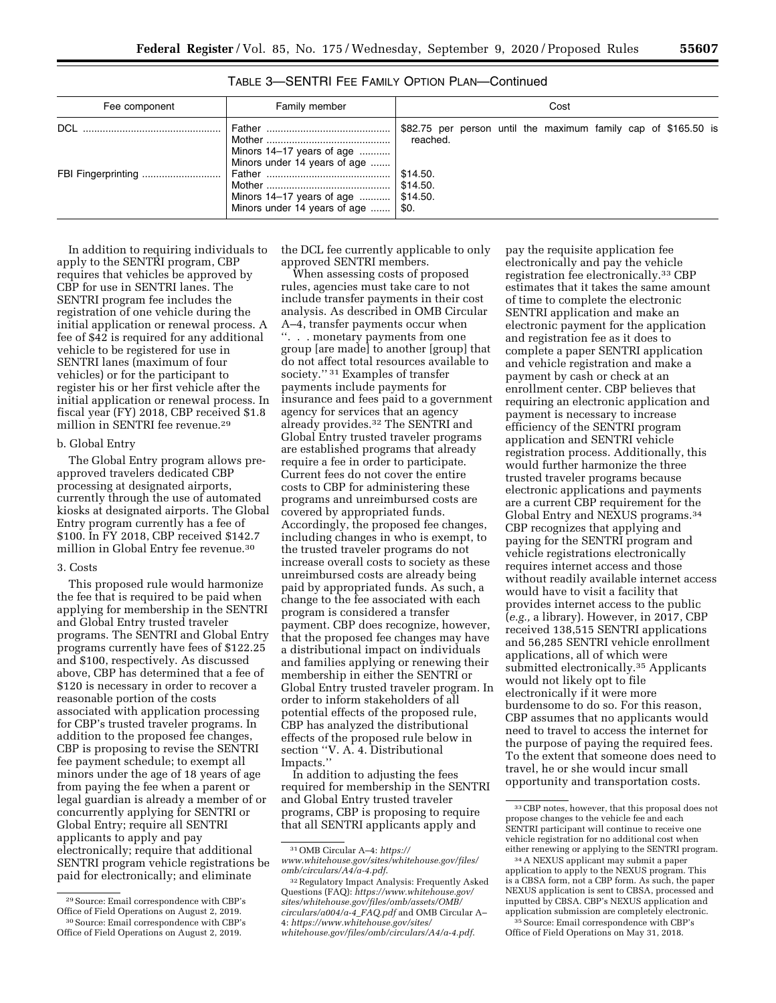| Fee component | Family member                                                                                                                                     | Cost                                                                                                         |
|---------------|---------------------------------------------------------------------------------------------------------------------------------------------------|--------------------------------------------------------------------------------------------------------------|
| <b>DCL</b>    | Minors $14-17$ years of age<br>Minors under 14 years of age<br>Minors 14–17 years of age    \$14.50.<br>Minors under 14 years of age $\dots$ \$0. | \$82.75 per person until the maximum family cap of \$165.50 is<br>reached.<br>$\vert$ \$14.50.<br>  \$14.50. |

TABLE 3—SENTRI FEE FAMILY OPTION PLAN—Continued

In addition to requiring individuals to apply to the SENTRI program, CBP requires that vehicles be approved by CBP for use in SENTRI lanes. The SENTRI program fee includes the registration of one vehicle during the initial application or renewal process. A fee of \$42 is required for any additional vehicle to be registered for use in SENTRI lanes (maximum of four vehicles) or for the participant to register his or her first vehicle after the initial application or renewal process. In fiscal year (FY) 2018, CBP received \$1.8 million in SENTRI fee revenue.29

## b. Global Entry

The Global Entry program allows preapproved travelers dedicated CBP processing at designated airports, currently through the use of automated kiosks at designated airports. The Global Entry program currently has a fee of \$100. In FY 2018, CBP received \$142.7 million in Global Entry fee revenue.30

#### 3. Costs

This proposed rule would harmonize the fee that is required to be paid when applying for membership in the SENTRI and Global Entry trusted traveler programs. The SENTRI and Global Entry programs currently have fees of \$122.25 and \$100, respectively. As discussed above, CBP has determined that a fee of \$120 is necessary in order to recover a reasonable portion of the costs associated with application processing for CBP's trusted traveler programs. In addition to the proposed fee changes, CBP is proposing to revise the SENTRI fee payment schedule; to exempt all minors under the age of 18 years of age from paying the fee when a parent or legal guardian is already a member of or concurrently applying for SENTRI or Global Entry; require all SENTRI applicants to apply and pay electronically; require that additional SENTRI program vehicle registrations be paid for electronically; and eliminate

Office of Field Operations on August 2, 2019.

the DCL fee currently applicable to only approved SENTRI members.

When assessing costs of proposed rules, agencies must take care to not include transfer payments in their cost analysis. As described in OMB Circular A–4, transfer payments occur when ''. . . monetary payments from one group [are made] to another [group] that do not affect total resources available to society.'' 31 Examples of transfer payments include payments for insurance and fees paid to a government agency for services that an agency already provides.32 The SENTRI and Global Entry trusted traveler programs are established programs that already require a fee in order to participate. Current fees do not cover the entire costs to CBP for administering these programs and unreimbursed costs are covered by appropriated funds. Accordingly, the proposed fee changes, including changes in who is exempt, to the trusted traveler programs do not increase overall costs to society as these unreimbursed costs are already being paid by appropriated funds. As such, a change to the fee associated with each program is considered a transfer payment. CBP does recognize, however, that the proposed fee changes may have a distributional impact on individuals and families applying or renewing their membership in either the SENTRI or Global Entry trusted traveler program. In order to inform stakeholders of all potential effects of the proposed rule, CBP has analyzed the distributional effects of the proposed rule below in section ''V. A. 4. Distributional Impacts.''

In addition to adjusting the fees required for membership in the SENTRI and Global Entry trusted traveler programs, CBP is proposing to require that all SENTRI applicants apply and

pay the requisite application fee electronically and pay the vehicle registration fee electronically.33 CBP estimates that it takes the same amount of time to complete the electronic SENTRI application and make an electronic payment for the application and registration fee as it does to complete a paper SENTRI application and vehicle registration and make a payment by cash or check at an enrollment center. CBP believes that requiring an electronic application and payment is necessary to increase efficiency of the SENTRI program application and SENTRI vehicle registration process. Additionally, this would further harmonize the three trusted traveler programs because electronic applications and payments are a current CBP requirement for the Global Entry and NEXUS programs.34 CBP recognizes that applying and paying for the SENTRI program and vehicle registrations electronically requires internet access and those without readily available internet access would have to visit a facility that provides internet access to the public (*e.g.,* a library). However, in 2017, CBP received 138,515 SENTRI applications and 56,285 SENTRI vehicle enrollment applications, all of which were submitted electronically.35 Applicants would not likely opt to file electronically if it were more burdensome to do so. For this reason, CBP assumes that no applicants would need to travel to access the internet for the purpose of paying the required fees. To the extent that someone does need to travel, he or she would incur small opportunity and transportation costs.

<sup>29</sup>Source: Email correspondence with CBP's Office of Field Operations on August 2, 2019. 30Source: Email correspondence with CBP's

<sup>31</sup>OMB Circular A–4: *[https://](https://www.whitehouse.gov/sites/whitehouse.gov/files/omb/circulars/A4/a-4.pdf)*

*[www.whitehouse.gov/sites/whitehouse.gov/files/](https://www.whitehouse.gov/sites/whitehouse.gov/files/omb/circulars/A4/a-4.pdf)  [omb/circulars/A4/a-4.pdf](https://www.whitehouse.gov/sites/whitehouse.gov/files/omb/circulars/A4/a-4.pdf)*.

<sup>32</sup>Regulatory Impact Analysis: Frequently Asked Questions (FAQ): *[https://www.whitehouse.gov/](https://www.whitehouse.gov/sites/whitehouse.gov/files/omb/assets/OMB/circulars/a004/a-4_FAQ.pdf)  [sites/whitehouse.gov/files/omb/assets/OMB/](https://www.whitehouse.gov/sites/whitehouse.gov/files/omb/assets/OMB/circulars/a004/a-4_FAQ.pdf)  [circulars/a004/a-4](https://www.whitehouse.gov/sites/whitehouse.gov/files/omb/assets/OMB/circulars/a004/a-4_FAQ.pdf)*\_*FAQ.pdf* and OMB Circular A– 4: *[https://www.whitehouse.gov/sites/](https://www.whitehouse.gov/sites/whitehouse.gov/files/omb/circulars/A4/a-4.pdf)  [whitehouse.gov/files/omb/circulars/A4/a-4.pdf](https://www.whitehouse.gov/sites/whitehouse.gov/files/omb/circulars/A4/a-4.pdf)*.

<sup>33</sup>CBP notes, however, that this proposal does not propose changes to the vehicle fee and each SENTRI participant will continue to receive one vehicle registration for no additional cost when either renewing or applying to the SENTRI program.

<sup>34</sup>A NEXUS applicant may submit a paper application to apply to the NEXUS program. This is a CBSA form, not a CBP form. As such, the paper NEXUS application is sent to CBSA, processed and inputted by CBSA. CBP's NEXUS application and application submission are completely electronic. 35Source: Email correspondence with CBP's Office of Field Operations on May 31, 2018.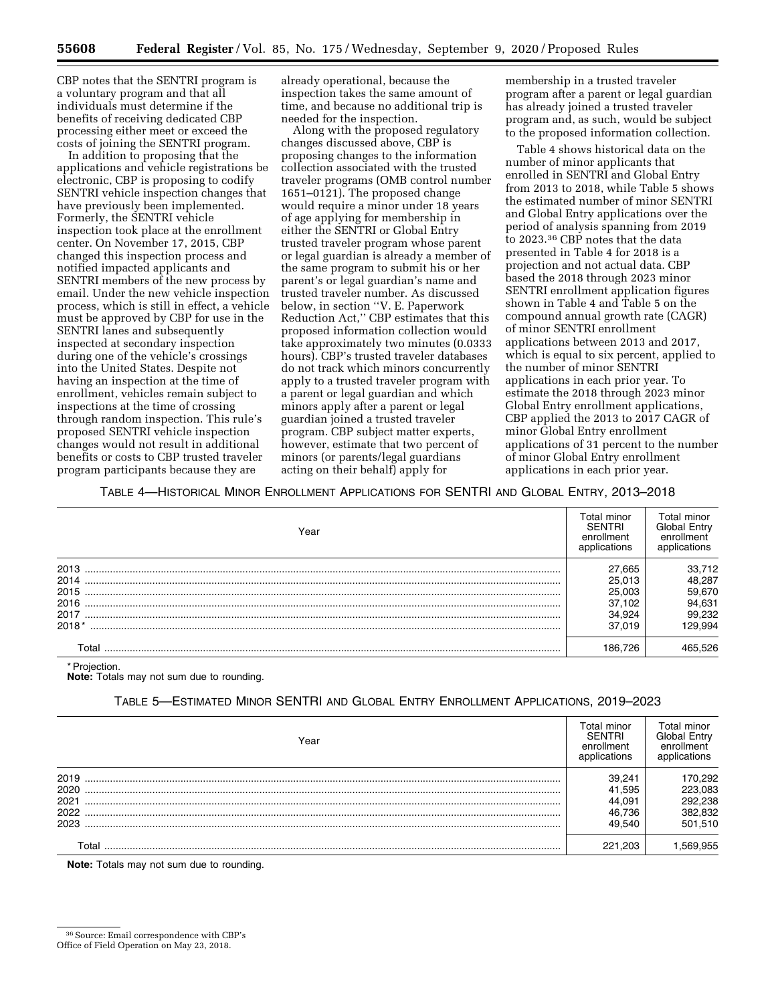CBP notes that the SENTRI program is a voluntary program and that all individuals must determine if the benefits of receiving dedicated CBP processing either meet or exceed the costs of joining the SENTRI program.

In addition to proposing that the applications and vehicle registrations be electronic, CBP is proposing to codify SENTRI vehicle inspection changes that have previously been implemented. Formerly, the SENTRI vehicle inspection took place at the enrollment center. On November 17, 2015, CBP changed this inspection process and notified impacted applicants and SENTRI members of the new process by email. Under the new vehicle inspection process, which is still in effect, a vehicle must be approved by CBP for use in the SENTRI lanes and subsequently inspected at secondary inspection during one of the vehicle's crossings into the United States. Despite not having an inspection at the time of enrollment, vehicles remain subject to inspections at the time of crossing through random inspection. This rule's proposed SENTRI vehicle inspection changes would not result in additional benefits or costs to CBP trusted traveler program participants because they are

already operational, because the inspection takes the same amount of time, and because no additional trip is needed for the inspection.

Along with the proposed regulatory changes discussed above, CBP is proposing changes to the information collection associated with the trusted traveler programs (OMB control number 1651–0121). The proposed change would require a minor under 18 years of age applying for membership in either the SENTRI or Global Entry trusted traveler program whose parent or legal guardian is already a member of the same program to submit his or her parent's or legal guardian's name and trusted traveler number. As discussed below, in section ''V. E. Paperwork Reduction Act,'' CBP estimates that this proposed information collection would take approximately two minutes (0.0333 hours). CBP's trusted traveler databases do not track which minors concurrently apply to a trusted traveler program with a parent or legal guardian and which minors apply after a parent or legal guardian joined a trusted traveler program. CBP subject matter experts, however, estimate that two percent of minors (or parents/legal guardians acting on their behalf) apply for

membership in a trusted traveler program after a parent or legal guardian has already joined a trusted traveler program and, as such, would be subject to the proposed information collection.

Table 4 shows historical data on the number of minor applicants that enrolled in SENTRI and Global Entry from 2013 to 2018, while Table 5 shows the estimated number of minor SENTRI and Global Entry applications over the period of analysis spanning from 2019 to 2023.36 CBP notes that the data presented in Table 4 for 2018 is a projection and not actual data. CBP based the 2018 through 2023 minor SENTRI enrollment application figures shown in Table 4 and Table 5 on the compound annual growth rate (CAGR) of minor SENTRI enrollment applications between 2013 and 2017, which is equal to six percent, applied to the number of minor SENTRI applications in each prior year. To estimate the 2018 through 2023 minor Global Entry enrollment applications, CBP applied the 2013 to 2017 CAGR of minor Global Entry enrollment applications of 31 percent to the number of minor Global Entry enrollment applications in each prior year.

## TABLE 4—HISTORICAL MINOR ENROLLMENT APPLICATIONS FOR SENTRI AND GLOBAL ENTRY, 2013–2018

| Year    | Total minor<br>SENTRI<br>enrollment<br>applications | Total minor<br>Global Entrv<br>enrollment |
|---------|-----------------------------------------------------|-------------------------------------------|
| 2013    | 27.665                                              | 33.712                                    |
| 2014    | 25.013                                              | 48,287                                    |
| 2015    | 25.003                                              | 59.670                                    |
| 2016    | 37.102                                              | 94,631                                    |
| 2017    | 34.924                                              | 99.232                                    |
| $2018*$ | 37.019                                              | 129.994                                   |
| Γotal   | 186.726                                             |                                           |

\* Projection.

**Note:** Totals may not sum due to rounding.

# TABLE 5—ESTIMATED MINOR SENTRI AND GLOBAL ENTRY ENROLLMENT APPLICATIONS, 2019–2023

| Year | Total minor<br><b>SENTRI</b><br>enrollment<br>applications | Total minor<br>Global Entrv<br>enrollment<br>applications |
|------|------------------------------------------------------------|-----------------------------------------------------------|
| 2019 | 39.241                                                     | 170,292                                                   |
| 2020 | 41.595                                                     | 223,083                                                   |
| 2021 | 44.091                                                     | 292,238                                                   |
| 2022 | 46.736                                                     | 382,832                                                   |
| 2023 | 49.540                                                     | 501.510                                                   |
|      | 221 203                                                    |                                                           |

**Note:** Totals may not sum due to rounding.

<sup>36</sup>Source: Email correspondence with CBP's

Office of Field Operation on May 23, 2018.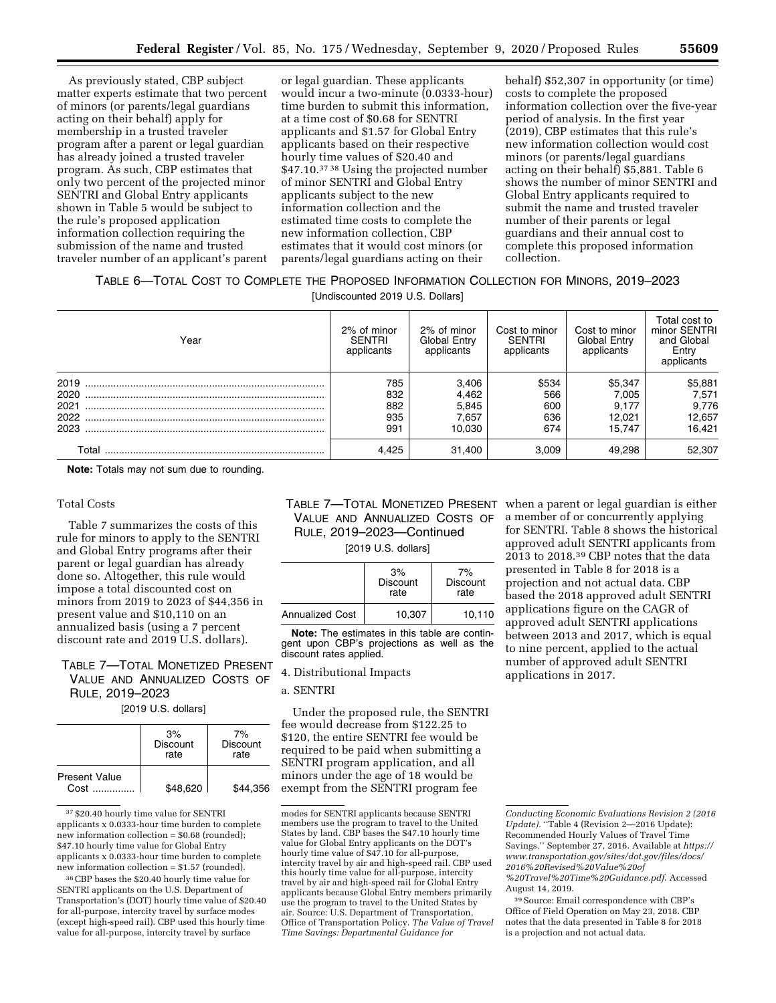As previously stated, CBP subject matter experts estimate that two percent of minors (or parents/legal guardians acting on their behalf) apply for membership in a trusted traveler program after a parent or legal guardian has already joined a trusted traveler program. As such, CBP estimates that only two percent of the projected minor SENTRI and Global Entry applicants shown in Table 5 would be subject to the rule's proposed application information collection requiring the submission of the name and trusted traveler number of an applicant's parent

or legal guardian. These applicants would incur a two-minute (0.0333-hour) time burden to submit this information, at a time cost of \$0.68 for SENTRI applicants and \$1.57 for Global Entry applicants based on their respective hourly time values of \$20.40 and \$47.10.37 38 Using the projected number of minor SENTRI and Global Entry applicants subject to the new information collection and the estimated time costs to complete the new information collection, CBP estimates that it would cost minors (or parents/legal guardians acting on their

behalf) \$52,307 in opportunity (or time) costs to complete the proposed information collection over the five-year period of analysis. In the first year (2019), CBP estimates that this rule's new information collection would cost minors (or parents/legal guardians acting on their behalf) \$5,881. Table 6 shows the number of minor SENTRI and Global Entry applicants required to submit the name and trusted traveler number of their parents or legal guardians and their annual cost to complete this proposed information collection.

## TABLE 6—TOTAL COST TO COMPLETE THE PROPOSED INFORMATION COLLECTION FOR MINORS, 2019–2023

[Undiscounted 2019 U.S. Dollars]

| Year                 | 2% of minor<br><b>SENTRI</b><br>applicants | 2% of minor<br>Global Entry<br>applicants | Cost to minor<br><b>SENTRI</b><br>applicants | Cost to minor<br>Global Entry<br>applicants | Total cost to<br>minor SENTRI<br>and Global<br>Entry<br>applicants |
|----------------------|--------------------------------------------|-------------------------------------------|----------------------------------------------|---------------------------------------------|--------------------------------------------------------------------|
| 2019<br>2020<br>2021 | 785<br>832<br>882                          | 3,406<br>4,462<br>5,845                   | \$534<br>566<br>600                          | \$5,347<br>7.005<br>9.177                   | \$5,881<br>7,571<br>9,776                                          |
| 2022<br>2023         | 935<br>991                                 | 7,657<br>10.030                           | 636<br>674                                   | 12.021<br>15.747                            | 12,657<br>16,421                                                   |
| Total                | 4.425                                      | 31,400                                    | 3.009                                        | 49.298                                      | 52,307                                                             |

**Note:** Totals may not sum due to rounding.

#### Total Costs

Table 7 summarizes the costs of this rule for minors to apply to the SENTRI and Global Entry programs after their parent or legal guardian has already done so. Altogether, this rule would impose a total discounted cost on minors from 2019 to 2023 of \$44,356 in present value and \$10,110 on an annualized basis (using a 7 percent discount rate and 2019 U.S. dollars).

# TABLE 7—TOTAL MONETIZED PRESENT VALUE AND ANNUALIZED COSTS OF RULE, 2019–2023

[2019 U.S. dollars]

|                              | 3%<br><b>Discount</b><br>rate | 7%<br><b>Discount</b><br>rate |
|------------------------------|-------------------------------|-------------------------------|
| <b>Present Value</b><br>Cost | \$48,620                      | \$44.356                      |

37 \$20.40 hourly time value for SENTRI applicants x 0.0333-hour time burden to complete new information collection = \$0.68 (rounded); \$47.10 hourly time value for Global Entry applicants x 0.0333-hour time burden to complete new information collection = \$1.57 (rounded).

38CBP bases the \$20.40 hourly time value for SENTRI applicants on the U.S. Department of Transportation's (DOT) hourly time value of \$20.40 for all-purpose, intercity travel by surface modes (except high-speed rail). CBP used this hourly time value for all-purpose, intercity travel by surface

# TABLE 7—TOTAL MONETIZED PRESENT when a parent or legal guardian is either VALUE AND ANNUALIZED COSTS OF RULE, 2019–2023—Continued

[2019 U.S. dollars]

|                        | 3%<br><b>Discount</b><br>rate | 7%<br><b>Discount</b><br>rate |
|------------------------|-------------------------------|-------------------------------|
| <b>Annualized Cost</b> | 10,307                        | 10.110                        |

**Note:** The estimates in this table are contingent upon CBP's projections as well as the discount rates applied.

## 4. Distributional Impacts

## a. SENTRI

Under the proposed rule, the SENTRI fee would decrease from \$122.25 to \$120, the entire SENTRI fee would be required to be paid when submitting a SENTRI program application, and all minors under the age of 18 would be exempt from the SENTRI program fee

a member of or concurrently applying for SENTRI. Table 8 shows the historical approved adult SENTRI applicants from 2013 to 2018.39 CBP notes that the data presented in Table 8 for 2018 is a projection and not actual data. CBP based the 2018 approved adult SENTRI applications figure on the CAGR of approved adult SENTRI applications between 2013 and 2017, which is equal to nine percent, applied to the actual number of approved adult SENTRI applications in 2017.

*Conducting Economic Evaluations Revision 2 (2016 Update).* ''Table 4 (Revision 2—2016 Update): Recommended Hourly Values of Travel Time Savings.'' September 27, 2016. Available at *[https://](https://www.transportation.gov/sites/dot.gov/files/docs/2016%20Revised%20Value%20of%20Travel%20Time%20Guidance.pdf) [www.transportation.gov/sites/dot.gov/files/docs/](https://www.transportation.gov/sites/dot.gov/files/docs/2016%20Revised%20Value%20of%20Travel%20Time%20Guidance.pdf) [2016%20Revised%20Value%20of](https://www.transportation.gov/sites/dot.gov/files/docs/2016%20Revised%20Value%20of%20Travel%20Time%20Guidance.pdf) [%20Travel%20Time%20Guidance.pdf](https://www.transportation.gov/sites/dot.gov/files/docs/2016%20Revised%20Value%20of%20Travel%20Time%20Guidance.pdf)*. Accessed

modes for SENTRI applicants because SENTRI members use the program to travel to the United States by land. CBP bases the \$47.10 hourly time value for Global Entry applicants on the DOT's hourly time value of \$47.10 for all-purpose, intercity travel by air and high-speed rail. CBP used this hourly time value for all-purpose, intercity travel by air and high-speed rail for Global Entry applicants because Global Entry members primarily use the program to travel to the United States by air. Source: U.S. Department of Transportation, Office of Transportation Policy. *The Value of Travel Time Savings: Departmental Guidance for* 

August 14, 2019.

<sup>39</sup>Source: Email correspondence with CBP's Office of Field Operation on May 23, 2018. CBP notes that the data presented in Table 8 for 2018 is a projection and not actual data.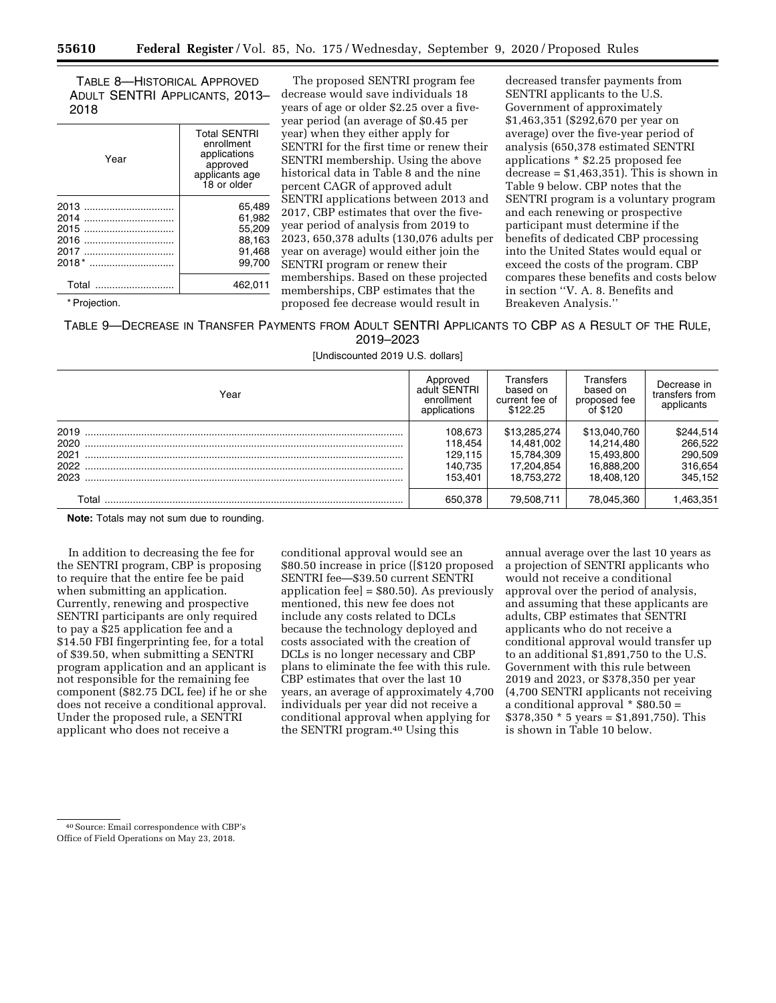TABLE 8—HISTORICAL APPROVED ADULT SENTRI APPLICANTS, 2013– 2018

| Year                                            | <b>Total SENTRI</b><br>enrollment<br>applications<br>approved<br>applicants age<br>18 or older |
|-------------------------------------------------|------------------------------------------------------------------------------------------------|
| 2013<br>2014<br>2015<br>2016<br>2017<br>$2018*$ | 65.489<br>61.982<br>55.209<br>88.163<br>91.468<br>99.700                                       |
| Total                                           | 462.011                                                                                        |

\* Projection.

The proposed SENTRI program fee decrease would save individuals 18 years of age or older \$2.25 over a fiveyear period (an average of \$0.45 per year) when they either apply for SENTRI for the first time or renew their SENTRI membership. Using the above historical data in Table 8 and the nine percent CAGR of approved adult SENTRI applications between 2013 and 2017, CBP estimates that over the fiveyear period of analysis from 2019 to 2023, 650,378 adults (130,076 adults per year on average) would either join the SENTRI program or renew their memberships. Based on these projected memberships, CBP estimates that the proposed fee decrease would result in

decreased transfer payments from SENTRI applicants to the U.S. Government of approximately \$1,463,351 (\$292,670 per year on average) over the five-year period of analysis (650,378 estimated SENTRI applications \* \$2.25 proposed fee  $decrease = $1,463,351$ . This is shown in Table 9 below. CBP notes that the SENTRI program is a voluntary program and each renewing or prospective participant must determine if the benefits of dedicated CBP processing into the United States would equal or exceed the costs of the program. CBP compares these benefits and costs below in section ''V. A. 8. Benefits and Breakeven Analysis.''

TABLE 9—DECREASE IN TRANSFER PAYMENTS FROM ADULT SENTRI APPLICANTS TO CBP AS A RESULT OF THE RULE, 2019–2023

[Undiscounted 2019 U.S. dollars]

| Year                                 | Approved<br>adult SENTRI<br>enrollment<br>applications | Transfers<br>based on<br>current fee of<br>\$122.25                  | Transfers<br>based on<br>proposed fee<br>of \$120                    | Decrease in<br>transfers from<br>applicants           |
|--------------------------------------|--------------------------------------------------------|----------------------------------------------------------------------|----------------------------------------------------------------------|-------------------------------------------------------|
| 2019<br>2020<br>2021<br>2022<br>2023 | 108,673<br>118.454<br>129.115<br>140.735<br>153.401    | \$13,285,274<br>14.481.002<br>15.784.309<br>17.204.854<br>18.753.272 | \$13,040,760<br>14.214.480<br>15.493.800<br>16.888.200<br>18.408.120 | \$244,514<br>266,522<br>290,509<br>316,654<br>345.152 |
| Г∩tal                                | 650.378                                                | 79.508.711                                                           | 78.045.360                                                           | 463.351                                               |

**Note:** Totals may not sum due to rounding.

In addition to decreasing the fee for the SENTRI program, CBP is proposing to require that the entire fee be paid when submitting an application. Currently, renewing and prospective SENTRI participants are only required to pay a \$25 application fee and a \$14.50 FBI fingerprinting fee, for a total of \$39.50, when submitting a SENTRI program application and an applicant is not responsible for the remaining fee component (\$82.75 DCL fee) if he or she does not receive a conditional approval. Under the proposed rule, a SENTRI applicant who does not receive a

conditional approval would see an \$80.50 increase in price ([\$120 proposed SENTRI fee—\$39.50 current SENTRI application fee] = \$80.50). As previously mentioned, this new fee does not include any costs related to DCLs because the technology deployed and costs associated with the creation of DCLs is no longer necessary and CBP plans to eliminate the fee with this rule. CBP estimates that over the last 10 years, an average of approximately 4,700 individuals per year did not receive a conditional approval when applying for the SENTRI program.40 Using this

annual average over the last 10 years as a projection of SENTRI applicants who would not receive a conditional approval over the period of analysis, and assuming that these applicants are adults, CBP estimates that SENTRI applicants who do not receive a conditional approval would transfer up to an additional \$1,891,750 to the U.S. Government with this rule between 2019 and 2023, or \$378,350 per year (4,700 SENTRI applicants not receiving a conditional approval  $*$  \$80.50 =  $$378,350 * 5 \text{ years} = $1,891,750$ . This is shown in Table 10 below.

<sup>40</sup>Source: Email correspondence with CBP's Office of Field Operations on May 23, 2018.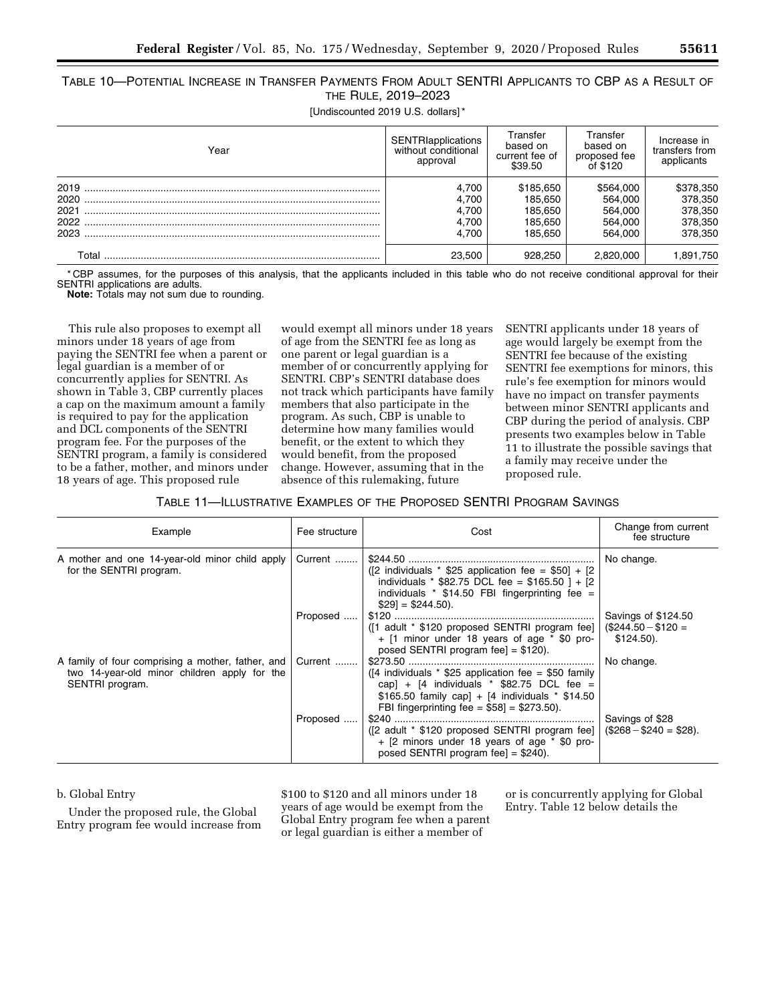TABLE 10—POTENTIAL INCREASE IN TRANSFER PAYMENTS FROM ADULT SENTRI APPLICANTS TO CBP AS A RESULT OF THE RULE, 2019–2023

[Undiscounted 2019 U.S. dollars]\*

| Year                         | SENTRIapplications<br>without conditional<br>approval | Transfer<br>based on<br>current fee of<br>\$39.50     | Transfer<br>based on<br>proposed fee<br>of \$120      | Increase in<br>transfers from<br>applicants           |
|------------------------------|-------------------------------------------------------|-------------------------------------------------------|-------------------------------------------------------|-------------------------------------------------------|
| 2019<br>2020<br>2021<br>2023 | 4.700<br>4.700<br>4.700<br>4.700<br>4.700             | \$185.650<br>185.650<br>185.650<br>185.650<br>185.650 | \$564,000<br>564,000<br>564,000<br>564,000<br>564.000 | \$378,350<br>378,350<br>378,350<br>378,350<br>378,350 |
| ⊺otal                        | 23.500                                                | 928.250                                               | 2.820.000                                             | .891,750                                              |

CBP assumes, for the purposes of this analysis, that the applicants included in this table who do not receive conditional approval for their SENTRI applications are adults.

**Note:** Totals may not sum due to rounding.

This rule also proposes to exempt all minors under 18 years of age from paying the SENTRI fee when a parent or legal guardian is a member of or concurrently applies for SENTRI. As shown in Table 3, CBP currently places a cap on the maximum amount a family is required to pay for the application and DCL components of the SENTRI program fee. For the purposes of the SENTRI program, a family is considered to be a father, mother, and minors under 18 years of age. This proposed rule

would exempt all minors under 18 years of age from the SENTRI fee as long as one parent or legal guardian is a member of or concurrently applying for SENTRI. CBP's SENTRI database does not track which participants have family members that also participate in the program. As such, CBP is unable to determine how many families would benefit, or the extent to which they would benefit, from the proposed change. However, assuming that in the absence of this rulemaking, future

SENTRI applicants under 18 years of age would largely be exempt from the SENTRI fee because of the existing SENTRI fee exemptions for minors, this rule's fee exemption for minors would have no impact on transfer payments between minor SENTRI applicants and CBP during the period of analysis. CBP presents two examples below in Table 11 to illustrate the possible savings that a family may receive under the proposed rule.

TABLE 11—ILLUSTRATIVE EXAMPLES OF THE PROPOSED SENTRI PROGRAM SAVINGS

| Example                                                                                                              | Fee structure | Cost                                                                                                                                                                                                                 | Change from current<br>fee structure                       |
|----------------------------------------------------------------------------------------------------------------------|---------------|----------------------------------------------------------------------------------------------------------------------------------------------------------------------------------------------------------------------|------------------------------------------------------------|
| A mother and one 14-year-old minor child apply<br>for the SENTRI program.                                            | Current       | ([2 individuals $*$ \$25 application fee = \$50] + [2<br>individuals * \$82.75 DCL fee = \$165.50 ] + [2]<br>individuals $*$ \$14.50 FBI fingerprinting fee =<br>$$29] = $244.50$ ).                                 | No change.                                                 |
|                                                                                                                      | Proposed      | ( $\lceil 1 \rceil$ adult * \$120 proposed SENTRI program fee]<br>$+$ [1 minor under 18 years of age $*$ \$0 pro-<br>posed SENTRI program fee] = $$120$ ).                                                           | Savings of \$124.50<br>$($244.50 - $120 =$<br>$$124.50$ ). |
| A family of four comprising a mother, father, and<br>two 14-year-old minor children apply for the<br>SENTRI program. | Current       | ( $\lceil 4$ individuals * \$25 application fee = \$50 family<br>cap] + $[4$ individuals * \$82.75 DCL fee =<br>\$165.50 family cap] + $[4$ individuals * \$14.50<br>FBI fingerprinting fee = $$58$ ] = $$273.50$ ). | No change.                                                 |
|                                                                                                                      | Proposed      | ([2 adult * \$120 proposed SENTRI program fee]<br>+ [2 minors under 18 years of age * \$0 pro-<br>posed SENTRI program fee] = $$240$ ).                                                                              | Savings of \$28<br>$($268 - $240 = $28)$ .                 |

## b. Global Entry

Under the proposed rule, the Global Entry program fee would increase from \$100 to \$120 and all minors under 18 years of age would be exempt from the Global Entry program fee when a parent or legal guardian is either a member of

or is concurrently applying for Global Entry. Table 12 below details the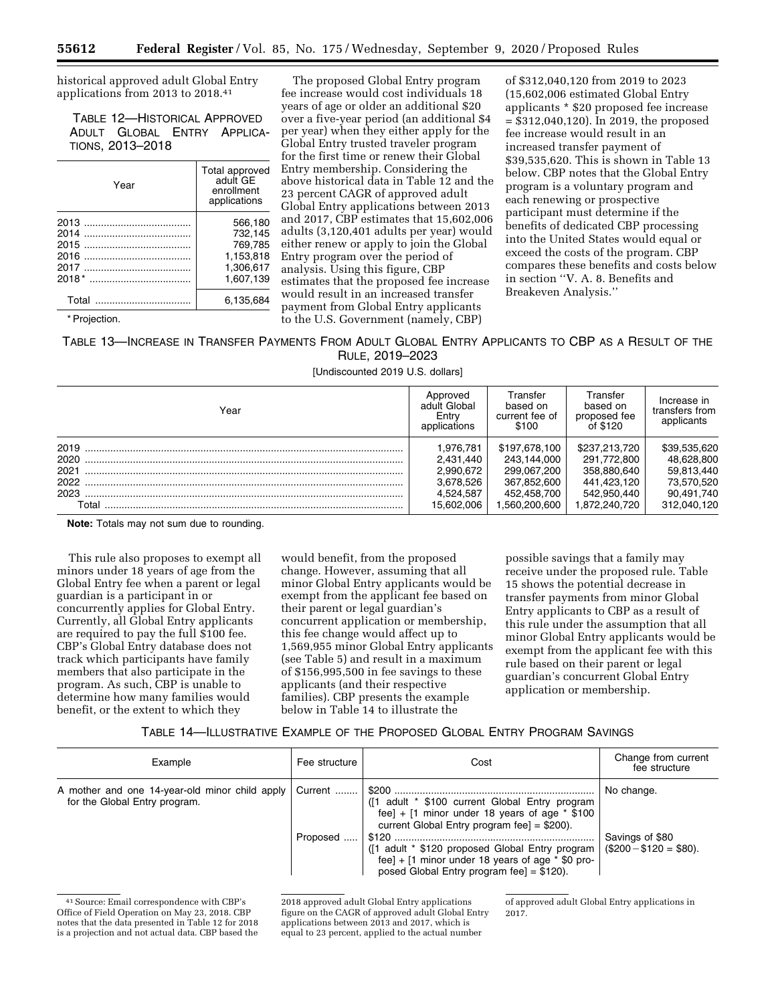historical approved adult Global Entry applications from 2013 to 2018.41

TABLE 12—HISTORICAL APPROVED ADULT GLOBAL ENTRY APPLICA-TIONS, 2013–2018

| Year  | Total approved<br>adult GF<br>enrollment<br>applications |
|-------|----------------------------------------------------------|
| 2013  | 566.180                                                  |
| 2014  | 732.145                                                  |
| 2015  | 769.785                                                  |
| 2016  | 1,153,818                                                |
| 2017  | 1.306.617                                                |
|       | 1,607,139                                                |
| Total | 6.135.684                                                |

\* Projection.

The proposed Global Entry program fee increase would cost individuals 18 years of age or older an additional \$20 over a five-year period (an additional \$4 per year) when they either apply for the Global Entry trusted traveler program for the first time or renew their Global Entry membership. Considering the above historical data in Table 12 and the 23 percent CAGR of approved adult Global Entry applications between 2013 and 2017, CBP estimates that 15,602,006 adults (3,120,401 adults per year) would either renew or apply to join the Global Entry program over the period of analysis. Using this figure, CBP estimates that the proposed fee increase would result in an increased transfer payment from Global Entry applicants to the U.S. Government (namely, CBP)

of \$312,040,120 from 2019 to 2023 (15,602,006 estimated Global Entry applicants \* \$20 proposed fee increase = \$312,040,120). In 2019, the proposed fee increase would result in an increased transfer payment of \$39,535,620. This is shown in Table 13 below. CBP notes that the Global Entry program is a voluntary program and each renewing or prospective participant must determine if the benefits of dedicated CBP processing into the United States would equal or exceed the costs of the program. CBP compares these benefits and costs below in section ''V. A. 8. Benefits and Breakeven Analysis.''

TABLE 13—INCREASE IN TRANSFER PAYMENTS FROM ADULT GLOBAL ENTRY APPLICANTS TO CBP AS A RESULT OF THE RULE, 2019–2023

[Undiscounted 2019 U.S. dollars]

| Year                                          | Approved<br>adult Global<br>Entry<br>applications                           | Transfer<br>based on<br>current fee of<br>\$100                                           | Transfer<br>based on<br>proposed fee<br>of \$120                                           | Increase in<br>transfers from<br>applicants                                         |
|-----------------------------------------------|-----------------------------------------------------------------------------|-------------------------------------------------------------------------------------------|--------------------------------------------------------------------------------------------|-------------------------------------------------------------------------------------|
| 2019<br>2020<br>2021<br>2022<br>2023<br>Total | 1,976,781<br>2.431.440<br>2.990.672<br>3.678.526<br>4.524.587<br>15.602.006 | \$197.678.100<br>243.144.000<br>299.067.200<br>367.852.600<br>452.458.700<br>.560.200.600 | \$237,213,720<br>291.772.800<br>358.880.640<br>441.423.120<br>542.950.440<br>1.872.240.720 | \$39,535,620<br>48.628.800<br>59.813.440<br>73.570.520<br>90.491.740<br>312.040.120 |

**Note:** Totals may not sum due to rounding.

This rule also proposes to exempt all minors under 18 years of age from the Global Entry fee when a parent or legal guardian is a participant in or concurrently applies for Global Entry. Currently, all Global Entry applicants are required to pay the full \$100 fee. CBP's Global Entry database does not track which participants have family members that also participate in the program. As such, CBP is unable to determine how many families would benefit, or the extent to which they

would benefit, from the proposed change. However, assuming that all minor Global Entry applicants would be exempt from the applicant fee based on their parent or legal guardian's concurrent application or membership, this fee change would affect up to 1,569,955 minor Global Entry applicants (see Table 5) and result in a maximum of \$156,995,500 in fee savings to these applicants (and their respective families). CBP presents the example below in Table 14 to illustrate the

possible savings that a family may receive under the proposed rule. Table 15 shows the potential decrease in transfer payments from minor Global Entry applicants to CBP as a result of this rule under the assumption that all minor Global Entry applicants would be exempt from the applicant fee with this rule based on their parent or legal guardian's concurrent Global Entry application or membership.

TABLE 14—ILLUSTRATIVE EXAMPLE OF THE PROPOSED GLOBAL ENTRY PROGRAM SAVINGS

| Example                                                                         | Fee structure | Cost                                                                                                                                                    | Change from current<br>fee structure      |
|---------------------------------------------------------------------------------|---------------|---------------------------------------------------------------------------------------------------------------------------------------------------------|-------------------------------------------|
| A mother and one 14-year-old minor child apply<br>for the Global Entry program. | Current       | ([1 adult * \$100 current Global Entry program<br>fee] $+$ [1 minor under 18 years of age $*$ \$100<br>current Global Entry program fee] = $$200$ ).    | No change.                                |
|                                                                                 | Proposed      | ([1 adult * \$120 proposed Global Entry program)<br>fee] $+$ [1 minor under 18 years of age $*$ \$0 pro-<br>posed Global Entry program fee] = $$120$ ). | Savings of \$80<br>$($200 - $120 = $80).$ |

41Source: Email correspondence with CBP's Office of Field Operation on May 23, 2018. CBP notes that the data presented in Table 12 for 2018 is a projection and not actual data. CBP based the 2018 approved adult Global Entry applications figure on the CAGR of approved adult Global Entry applications between 2013 and 2017, which is equal to 23 percent, applied to the actual number

of approved adult Global Entry applications in 2017.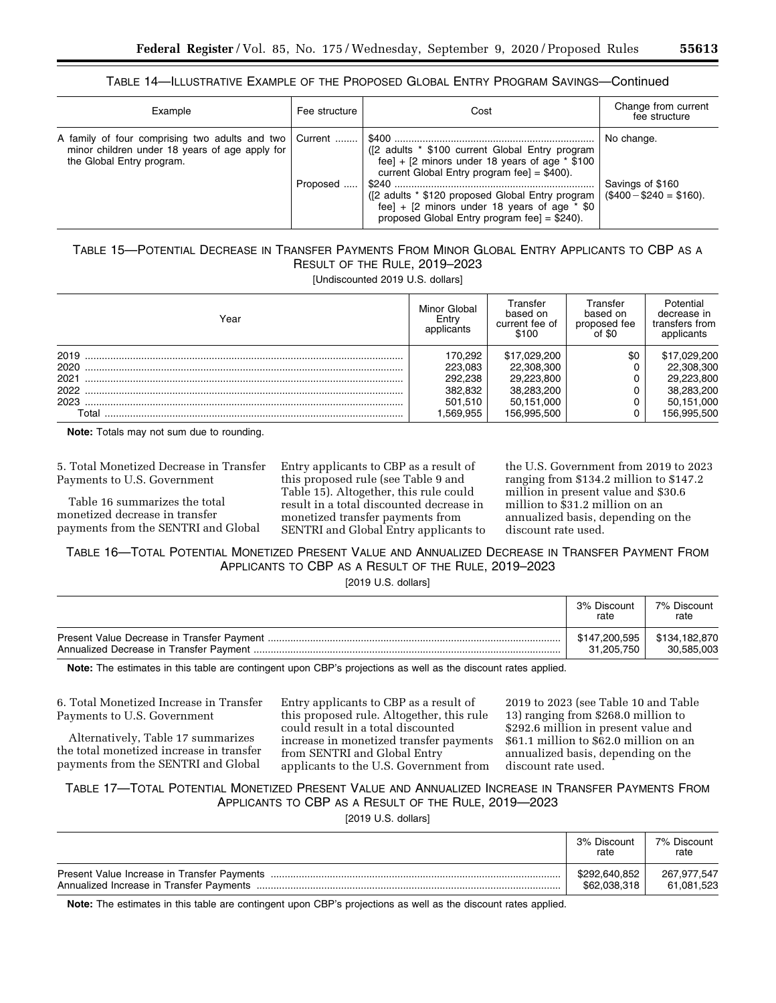## TABLE 14—ILLUSTRATIVE EXAMPLE OF THE PROPOSED GLOBAL ENTRY PROGRAM SAVINGS—Continued

| Example                                                                                                                               | Fee structure | Cost                                                                                                                                                                                                                                                                                                                   | Change from current<br>fee structure                      |
|---------------------------------------------------------------------------------------------------------------------------------------|---------------|------------------------------------------------------------------------------------------------------------------------------------------------------------------------------------------------------------------------------------------------------------------------------------------------------------------------|-----------------------------------------------------------|
| A family of four comprising two adults and two Current<br>minor children under 18 years of age apply for<br>the Global Entry program. | Proposed      | ([2 adults * \$100 current Global Entry program<br>fee] $+$ [2 minors under 18 years of age $*$ \$100<br>current Global Entry program fee] = $$400$ ).<br>([2 adults * \$120 proposed Global Entry program<br>fee] + $[2 \text{ minors under 18 years of age } * $0$<br>proposed Global Entry program fee] = $$240$ ). | No change.<br>Savings of \$160<br>$($400 - $240 = $160).$ |

# TABLE 15—POTENTIAL DECREASE IN TRANSFER PAYMENTS FROM MINOR GLOBAL ENTRY APPLICANTS TO CBP AS A RESULT OF THE RULE, 2019–2023

[Undiscounted 2019 U.S. dollars]

| Year                         | Minor Global<br>Entry<br>applicants      | Transfer<br>based on<br>current fee of<br>\$100        | Transfer<br>based on<br>proposed fee<br>$^{\prime}$ of \$0 | Potential<br>decrease in<br>transfers from<br>applicants |
|------------------------------|------------------------------------------|--------------------------------------------------------|------------------------------------------------------------|----------------------------------------------------------|
| 2019<br>2020<br>2021<br>2022 | 170.292<br>223.083<br>292.238<br>382.832 | \$17,029,200<br>22.308.300<br>29.223.800<br>38.283.200 | \$0                                                        | \$17,029,200<br>22,308,300<br>29.223.800<br>38.283.200   |
| 2023<br>Total                | 501.510<br>.569.955                      | 50.151.000<br>156,995,500                              |                                                            | 50,151,000<br>156.995.500                                |

**Note:** Totals may not sum due to rounding.

5. Total Monetized Decrease in Transfer Payments to U.S. Government

Table 16 summarizes the total monetized decrease in transfer payments from the SENTRI and Global Entry applicants to CBP as a result of this proposed rule (see Table 9 and Table 15). Altogether, this rule could result in a total discounted decrease in monetized transfer payments from SENTRI and Global Entry applicants to the U.S. Government from 2019 to 2023 ranging from \$134.2 million to \$147.2 million in present value and \$30.6 million to \$31.2 million on an annualized basis, depending on the discount rate used.

TABLE 16—TOTAL POTENTIAL MONETIZED PRESENT VALUE AND ANNUALIZED DECREASE IN TRANSFER PAYMENT FROM APPLICANTS TO CBP AS A RESULT OF THE RULE, 2019–2023

|  |  | $[2019 \; U.S.$ dollars] |
|--|--|--------------------------|
|--|--|--------------------------|

| 3% Discount<br>rate | 7% Discount<br>rate |
|---------------------|---------------------|
| \$147,200,595       | \$134.182.870       |
| 31.205.750          | 30.585.003          |

**Note:** The estimates in this table are contingent upon CBP's projections as well as the discount rates applied.

6. Total Monetized Increase in Transfer Payments to U.S. Government

Alternatively, Table 17 summarizes the total monetized increase in transfer payments from the SENTRI and Global

Entry applicants to CBP as a result of this proposed rule. Altogether, this rule could result in a total discounted increase in monetized transfer payments from SENTRI and Global Entry applicants to the U.S. Government from

2019 to 2023 (see Table 10 and Table 13) ranging from \$268.0 million to \$292.6 million in present value and \$61.1 million to \$62.0 million on an annualized basis, depending on the discount rate used.

# TABLE 17—TOTAL POTENTIAL MONETIZED PRESENT VALUE AND ANNUALIZED INCREASE IN TRANSFER PAYMENTS FROM APPLICANTS TO CBP AS A RESULT OF THE RULE, 2019—2023

[2019 U.S. dollars]

| 3% Discount<br>rate | 7% Discount<br>rate |
|---------------------|---------------------|
| \$292,640,852       | 267.977.547         |
| \$62,038,318        | 61,081,523          |

**Note:** The estimates in this table are contingent upon CBP's projections as well as the discount rates applied.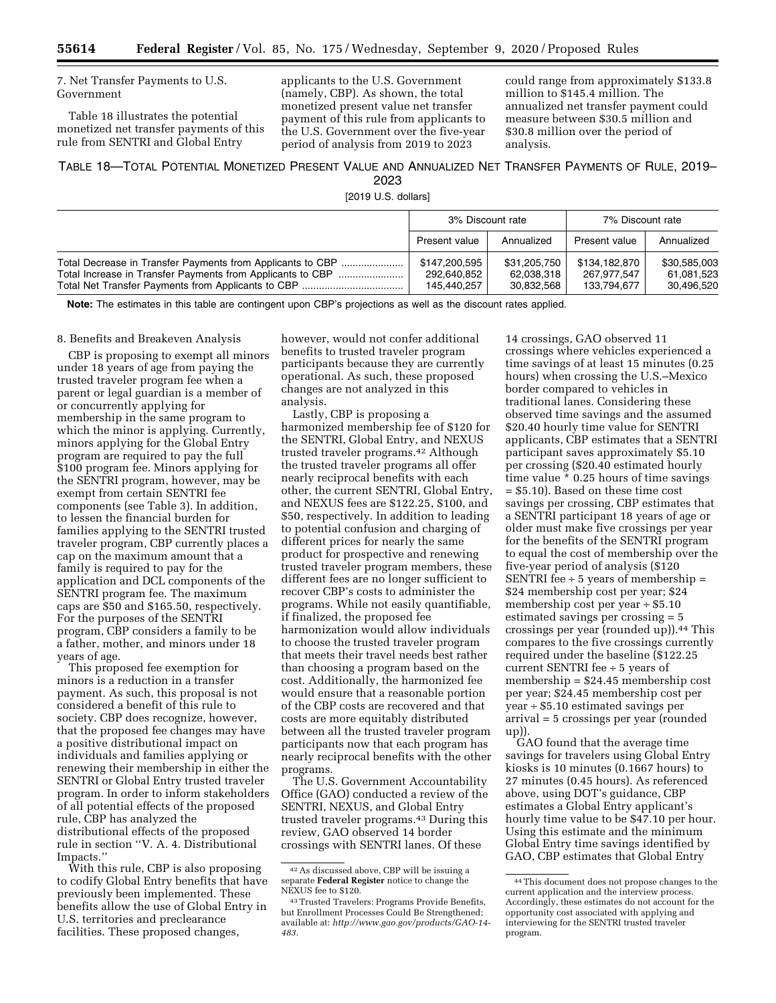7. Net Transfer Payments to U.S. Government

Table 18 illustrates the potential monetized net transfer payments of this rule from SENTRI and Global Entry

applicants to the U.S. Government (namely, CBP). As shown, the total monetized present value net transfer payment of this rule from applicants to the U.S. Government over the five-year period of analysis from 2019 to 2023

could range from approximately \$133.8 million to \$145.4 million. The annualized net transfer payment could measure between \$30.5 million and \$30.8 million over the period of analysis.

## TABLE 18—TOTAL POTENTIAL MONETIZED PRESENT VALUE AND ANNUALIZED NET TRANSFER PAYMENTS OF RULE, 2019– 2023

[2019 U.S. dollars]

|                                                                                                                          | 3% Discount rate                            |                                          | 7% Discount rate                            |                                          |
|--------------------------------------------------------------------------------------------------------------------------|---------------------------------------------|------------------------------------------|---------------------------------------------|------------------------------------------|
|                                                                                                                          | Present value                               | Annualized                               | Present value                               | Annualized                               |
| Total Decrease in Transfer Payments from Applicants to CBP<br>Total Increase in Transfer Payments from Applicants to CBP | \$147,200,595<br>292,640,852<br>145.440.257 | \$31.205.750<br>62,038,318<br>30.832.568 | \$134,182,870<br>267,977,547<br>133,794,677 | \$30.585.003<br>61.081.523<br>30.496.520 |

**Note:** The estimates in this table are contingent upon CBP's projections as well as the discount rates applied.

## 8. Benefits and Breakeven Analysis

CBP is proposing to exempt all minors under 18 years of age from paying the trusted traveler program fee when a parent or legal guardian is a member of or concurrently applying for membership in the same program to which the minor is applying. Currently, minors applying for the Global Entry program are required to pay the full \$100 program fee. Minors applying for the SENTRI program, however, may be exempt from certain SENTRI fee components (see Table 3). In addition, to lessen the financial burden for families applying to the SENTRI trusted traveler program, CBP currently places a cap on the maximum amount that a family is required to pay for the application and DCL components of the SENTRI program fee. The maximum caps are \$50 and \$165.50, respectively. For the purposes of the SENTRI program, CBP considers a family to be a father, mother, and minors under 18 years of age.

This proposed fee exemption for minors is a reduction in a transfer payment. As such, this proposal is not considered a benefit of this rule to society. CBP does recognize, however, that the proposed fee changes may have a positive distributional impact on individuals and families applying or renewing their membership in either the SENTRI or Global Entry trusted traveler program. In order to inform stakeholders of all potential effects of the proposed rule, CBP has analyzed the distributional effects of the proposed rule in section ''V. A. 4. Distributional Impacts.''

With this rule, CBP is also proposing to codify Global Entry benefits that have previously been implemented. These benefits allow the use of Global Entry in U.S. territories and preclearance facilities. These proposed changes,

however, would not confer additional benefits to trusted traveler program participants because they are currently operational. As such, these proposed changes are not analyzed in this analysis.

Lastly, CBP is proposing a harmonized membership fee of \$120 for the SENTRI, Global Entry, and NEXUS trusted traveler programs.42 Although the trusted traveler programs all offer nearly reciprocal benefits with each other, the current SENTRI, Global Entry, and NEXUS fees are \$122.25, \$100, and \$50, respectively. In addition to leading to potential confusion and charging of different prices for nearly the same product for prospective and renewing trusted traveler program members, these different fees are no longer sufficient to recover CBP's costs to administer the programs. While not easily quantifiable, if finalized, the proposed fee harmonization would allow individuals to choose the trusted traveler program that meets their travel needs best rather than choosing a program based on the cost. Additionally, the harmonized fee would ensure that a reasonable portion of the CBP costs are recovered and that costs are more equitably distributed between all the trusted traveler program participants now that each program has nearly reciprocal benefits with the other programs.

The U.S. Government Accountability Office (GAO) conducted a review of the SENTRI, NEXUS, and Global Entry trusted traveler programs.43 During this review, GAO observed 14 border crossings with SENTRI lanes. Of these

14 crossings, GAO observed 11 crossings where vehicles experienced a time savings of at least 15 minutes (0.25 hours) when crossing the U.S.–Mexico border compared to vehicles in traditional lanes. Considering these observed time savings and the assumed \$20.40 hourly time value for SENTRI applicants, CBP estimates that a SENTRI participant saves approximately \$5.10 per crossing (\$20.40 estimated hourly time value \* 0.25 hours of time savings = \$5.10). Based on these time cost savings per crossing, CBP estimates that a SENTRI participant 18 years of age or older must make five crossings per year for the benefits of the SENTRI program to equal the cost of membership over the five-year period of analysis (\$120 SENTRI fee  $\div$  5 years of membership  $=$ \$24 membership cost per year; \$24 membership cost per year ÷ \$5.10 estimated savings per crossing = 5 crossings per year (rounded up)).44 This compares to the five crossings currently required under the baseline (\$122.25 current SENTRI fee ÷ 5 years of membership = \$24.45 membership cost per year; \$24.45 membership cost per year ÷ \$5.10 estimated savings per arrival = 5 crossings per year (rounded up)).

GAO found that the average time savings for travelers using Global Entry kiosks is 10 minutes (0.1667 hours) to 27 minutes (0.45 hours). As referenced above, using DOT's guidance, CBP estimates a Global Entry applicant's hourly time value to be \$47.10 per hour. Using this estimate and the minimum Global Entry time savings identified by GAO, CBP estimates that Global Entry

<sup>42</sup>As discussed above, CBP will be issuing a separate **Federal Register** notice to change the NEXUS fee to \$120.

<sup>43</sup>Trusted Travelers: Programs Provide Benefits, but Enrollment Processes Could Be Strengthened; available at: *[http://www.gao.gov/products/GAO-14-](http://www.gao.gov/products/GAO-14-483) [483](http://www.gao.gov/products/GAO-14-483)*.

<sup>44</sup>This document does not propose changes to the current application and the interview process. Accordingly, these estimates do not account for the opportunity cost associated with applying and interviewing for the SENTRI trusted traveler program.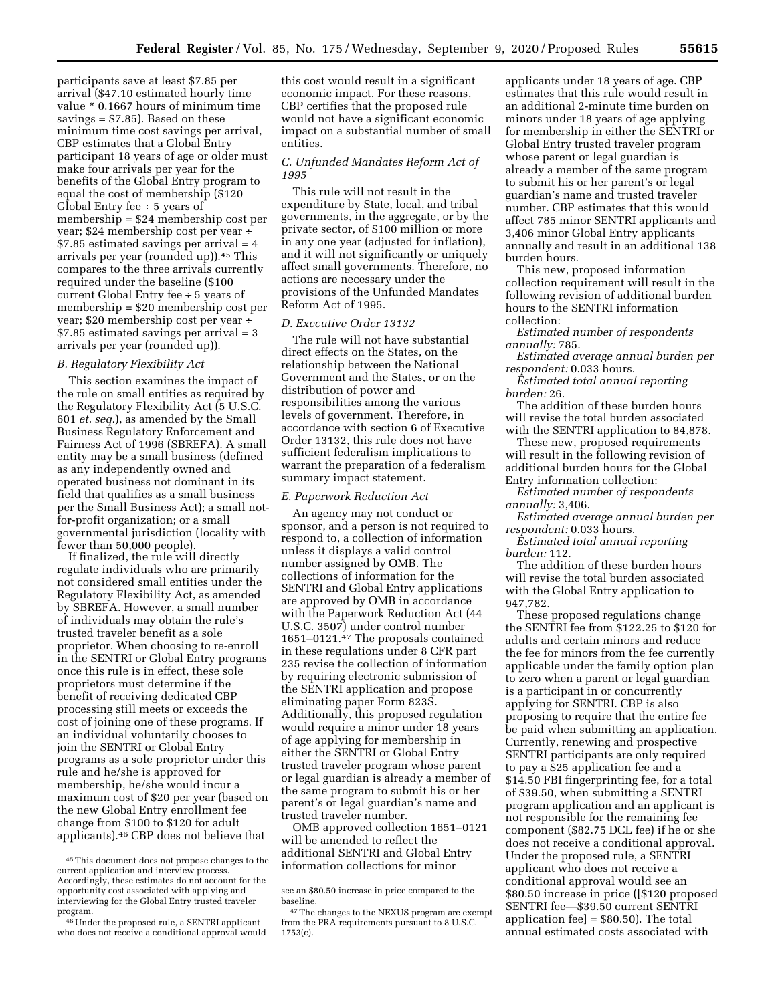participants save at least \$7.85 per arrival (\$47.10 estimated hourly time value \* 0.1667 hours of minimum time savings = \$7.85). Based on these minimum time cost savings per arrival, CBP estimates that a Global Entry participant 18 years of age or older must make four arrivals per year for the benefits of the Global Entry program to equal the cost of membership (\$120 Global Entry fee  $\div$  5 years of membership = \$24 membership cost per year; \$24 membership cost per year ÷ \$7.85 estimated savings per arrival = 4 arrivals per year (rounded up)).45 This compares to the three arrivals currently required under the baseline (\$100 current Global Entry fee ÷ 5 years of membership = \$20 membership cost per year; \$20 membership cost per year ÷ \$7.85 estimated savings per arrival = 3 arrivals per year (rounded up)).

#### *B. Regulatory Flexibility Act*

This section examines the impact of the rule on small entities as required by the Regulatory Flexibility Act (5 U.S.C. 601 *et. seq.*), as amended by the Small Business Regulatory Enforcement and Fairness Act of 1996 (SBREFA). A small entity may be a small business (defined as any independently owned and operated business not dominant in its field that qualifies as a small business per the Small Business Act); a small notfor-profit organization; or a small governmental jurisdiction (locality with fewer than 50,000 people).

If finalized, the rule will directly regulate individuals who are primarily not considered small entities under the Regulatory Flexibility Act, as amended by SBREFA. However, a small number of individuals may obtain the rule's trusted traveler benefit as a sole proprietor. When choosing to re-enroll in the SENTRI or Global Entry programs once this rule is in effect, these sole proprietors must determine if the benefit of receiving dedicated CBP processing still meets or exceeds the cost of joining one of these programs. If an individual voluntarily chooses to join the SENTRI or Global Entry programs as a sole proprietor under this rule and he/she is approved for membership, he/she would incur a maximum cost of \$20 per year (based on the new Global Entry enrollment fee change from \$100 to \$120 for adult applicants).46 CBP does not believe that

this cost would result in a significant economic impact. For these reasons, CBP certifies that the proposed rule would not have a significant economic impact on a substantial number of small entities.

#### *C. Unfunded Mandates Reform Act of 1995*

This rule will not result in the expenditure by State, local, and tribal governments, in the aggregate, or by the private sector, of \$100 million or more in any one year (adjusted for inflation), and it will not significantly or uniquely affect small governments. Therefore, no actions are necessary under the provisions of the Unfunded Mandates Reform Act of 1995.

#### *D. Executive Order 13132*

The rule will not have substantial direct effects on the States, on the relationship between the National Government and the States, or on the distribution of power and responsibilities among the various levels of government. Therefore, in accordance with section 6 of Executive Order 13132, this rule does not have sufficient federalism implications to warrant the preparation of a federalism summary impact statement.

#### *E. Paperwork Reduction Act*

An agency may not conduct or sponsor, and a person is not required to respond to, a collection of information unless it displays a valid control number assigned by OMB. The collections of information for the SENTRI and Global Entry applications are approved by OMB in accordance with the Paperwork Reduction Act (44 U.S.C. 3507) under control number 1651–0121.47 The proposals contained in these regulations under 8 CFR part 235 revise the collection of information by requiring electronic submission of the SENTRI application and propose eliminating paper Form 823S. Additionally, this proposed regulation would require a minor under 18 years of age applying for membership in either the SENTRI or Global Entry trusted traveler program whose parent or legal guardian is already a member of the same program to submit his or her parent's or legal guardian's name and trusted traveler number.

OMB approved collection 1651–0121 will be amended to reflect the additional SENTRI and Global Entry information collections for minor

applicants under 18 years of age. CBP estimates that this rule would result in an additional 2-minute time burden on minors under 18 years of age applying for membership in either the SENTRI or Global Entry trusted traveler program whose parent or legal guardian is already a member of the same program to submit his or her parent's or legal guardian's name and trusted traveler number. CBP estimates that this would affect 785 minor SENTRI applicants and 3,406 minor Global Entry applicants annually and result in an additional 138 burden hours.

This new, proposed information collection requirement will result in the following revision of additional burden hours to the SENTRI information collection:

*Estimated number of respondents annually:* 785.

*Estimated average annual burden per respondent:* 0.033 hours.

*Estimated total annual reporting burden:* 26.

The addition of these burden hours will revise the total burden associated with the SENTRI application to 84,878.

These new, proposed requirements will result in the following revision of

additional burden hours for the Global Entry information collection:

*Estimated number of respondents annually:* 3,406.

*Estimated average annual burden per respondent:* 0.033 hours.

*Estimated total annual reporting burden:* 112.

The addition of these burden hours will revise the total burden associated with the Global Entry application to 947,782.

These proposed regulations change the SENTRI fee from \$122.25 to \$120 for adults and certain minors and reduce the fee for minors from the fee currently applicable under the family option plan to zero when a parent or legal guardian is a participant in or concurrently applying for SENTRI. CBP is also proposing to require that the entire fee be paid when submitting an application. Currently, renewing and prospective SENTRI participants are only required to pay a \$25 application fee and a \$14.50 FBI fingerprinting fee, for a total of \$39.50, when submitting a SENTRI program application and an applicant is not responsible for the remaining fee component (\$82.75 DCL fee) if he or she does not receive a conditional approval. Under the proposed rule, a SENTRI applicant who does not receive a conditional approval would see an \$80.50 increase in price ([\$120 proposed SENTRI fee—\$39.50 current SENTRI application fee] = \$80.50). The total annual estimated costs associated with

<sup>45</sup>This document does not propose changes to the current application and interview process. Accordingly, these estimates do not account for the opportunity cost associated with applying and interviewing for the Global Entry trusted traveler program.

<sup>46</sup>Under the proposed rule, a SENTRI applicant who does not receive a conditional approval would

see an \$80.50 increase in price compared to the baseline.

<sup>47</sup>The changes to the NEXUS program are exempt from the PRA requirements pursuant to 8 U.S.C. 1753(c).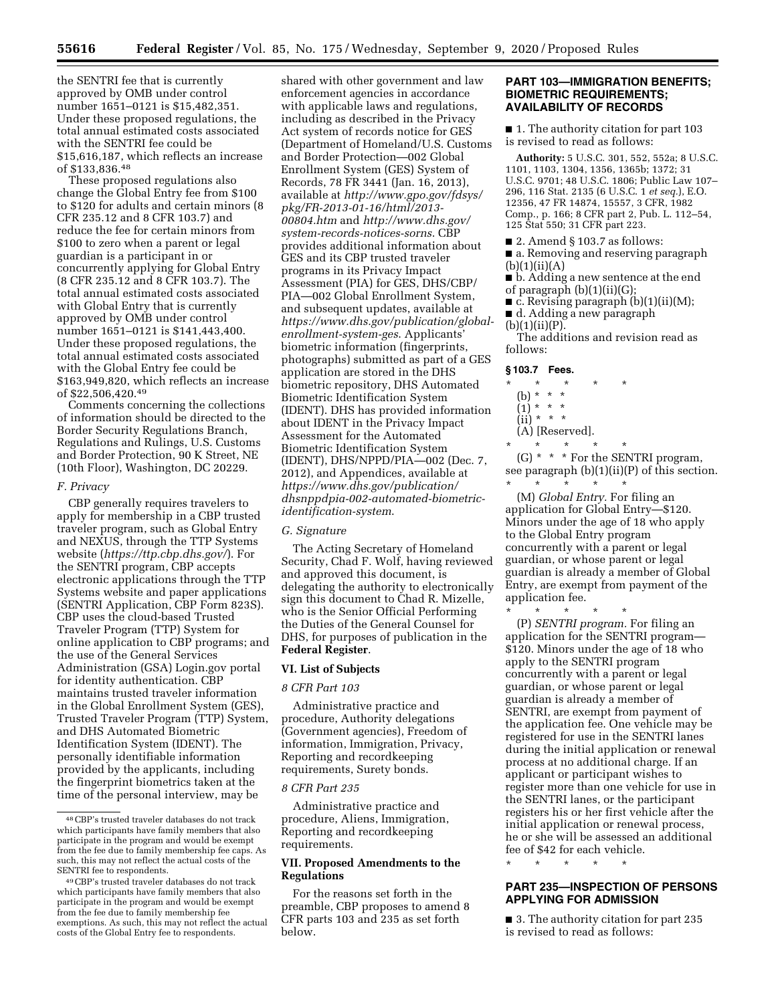the SENTRI fee that is currently approved by OMB under control number 1651–0121 is \$15,482,351. Under these proposed regulations, the total annual estimated costs associated with the SENTRI fee could be \$15,616,187, which reflects an increase of \$133,836.48

These proposed regulations also change the Global Entry fee from \$100 to \$120 for adults and certain minors (8 CFR 235.12 and 8 CFR 103.7) and reduce the fee for certain minors from \$100 to zero when a parent or legal guardian is a participant in or concurrently applying for Global Entry (8 CFR 235.12 and 8 CFR 103.7). The total annual estimated costs associated with Global Entry that is currently approved by OMB under control number 1651–0121 is \$141,443,400. Under these proposed regulations, the total annual estimated costs associated with the Global Entry fee could be \$163,949,820, which reflects an increase of \$22,506,420.49

Comments concerning the collections of information should be directed to the Border Security Regulations Branch, Regulations and Rulings, U.S. Customs and Border Protection, 90 K Street, NE (10th Floor), Washington, DC 20229.

## *F. Privacy*

CBP generally requires travelers to apply for membership in a CBP trusted traveler program, such as Global Entry and NEXUS, through the TTP Systems website (*<https://ttp.cbp.dhs.gov/>*). For the SENTRI program, CBP accepts electronic applications through the TTP Systems website and paper applications (SENTRI Application, CBP Form 823S). CBP uses the cloud-based Trusted Traveler Program (TTP) System for online application to CBP programs; and the use of the General Services Administration (GSA) Login.gov portal for identity authentication. CBP maintains trusted traveler information in the Global Enrollment System (GES), Trusted Traveler Program (TTP) System, and DHS Automated Biometric Identification System (IDENT). The personally identifiable information provided by the applicants, including the fingerprint biometrics taken at the time of the personal interview, may be

shared with other government and law enforcement agencies in accordance with applicable laws and regulations, including as described in the Privacy Act system of records notice for GES (Department of Homeland/U.S. Customs and Border Protection—002 Global Enrollment System (GES) System of Records, 78 FR 3441 (Jan. 16, 2013), available at *[http://www.gpo.gov/fdsys/](http://www.gpo.gov/fdsys/pkg/FR-2013-01-16/html/2013-00804.htm)  [pkg/FR-2013-01-16/html/2013-](http://www.gpo.gov/fdsys/pkg/FR-2013-01-16/html/2013-00804.htm) [00804.htm](http://www.gpo.gov/fdsys/pkg/FR-2013-01-16/html/2013-00804.htm)* and *[http://www.dhs.gov/](http://www.dhs.gov/system-records-notices-sorns) [system-records-notices-sorns](http://www.dhs.gov/system-records-notices-sorns)*. CBP provides additional information about GES and its CBP trusted traveler programs in its Privacy Impact Assessment (PIA) for GES, DHS/CBP/ PIA—002 Global Enrollment System, and subsequent updates, available at *[https://www.dhs.gov/publication/global](https://www.dhs.gov/publication/global-enrollment-system-ges)[enrollment-system-ges](https://www.dhs.gov/publication/global-enrollment-system-ges)*. Applicants' biometric information (fingerprints, photographs) submitted as part of a GES application are stored in the DHS biometric repository, DHS Automated Biometric Identification System (IDENT). DHS has provided information about IDENT in the Privacy Impact Assessment for the Automated Biometric Identification System (IDENT), DHS/NPPD/PIA—002 (Dec. 7, 2012), and Appendices, available at *[https://www.dhs.gov/publication/](https://www.dhs.gov/publication/dhsnppdpia-002-automated-biometric-identification-system)  [dhsnppdpia-002-automated-biometric](https://www.dhs.gov/publication/dhsnppdpia-002-automated-biometric-identification-system)[identification-system](https://www.dhs.gov/publication/dhsnppdpia-002-automated-biometric-identification-system)*.

#### *G. Signature*

The Acting Secretary of Homeland Security, Chad F. Wolf, having reviewed and approved this document, is delegating the authority to electronically sign this document to Chad R. Mizelle, who is the Senior Official Performing the Duties of the General Counsel for DHS, for purposes of publication in the **Federal Register**.

## **VI. List of Subjects**

#### *8 CFR Part 103*

Administrative practice and procedure, Authority delegations (Government agencies), Freedom of information, Immigration, Privacy, Reporting and recordkeeping requirements, Surety bonds.

#### *8 CFR Part 235*

Administrative practice and procedure, Aliens, Immigration, Reporting and recordkeeping requirements.

## **VII. Proposed Amendments to the Regulations**

For the reasons set forth in the preamble, CBP proposes to amend 8 CFR parts 103 and 235 as set forth below.

#### **PART 103—IMMIGRATION BENEFITS; BIOMETRIC REQUIREMENTS; AVAILABILITY OF RECORDS**

■ 1. The authority citation for part 103 is revised to read as follows:

**Authority:** 5 U.S.C. 301, 552, 552a; 8 U.S.C. 1101, 1103, 1304, 1356, 1365b; 1372; 31 U.S.C. 9701; 48 U.S.C. 1806; Public Law 107– 296, 116 Stat. 2135 (6 U.S.C. 1 *et seq.*), E.O. 12356, 47 FR 14874, 15557, 3 CFR, 1982 Comp., p. 166; 8 CFR part 2, Pub. L. 112–54, 125 Stat 550; 31 CFR part 223.

- $\blacksquare$  2. Amend § 103.7 as follows:
- a. Removing and reserving paragraph  $(b)(1)(ii)(A)$

■ b. Adding a new sentence at the end of paragraph  $(b)(1)(ii)(G);$ 

- c. Revising paragraph (b)(1)(ii)(M);
- d. Adding a new paragraph
- $(b)(1)(ii)(P)$ .

The additions and revision read as follows:

#### **§ 103.7 Fees.**

- $\star$   $\star$
- (b) \* \* \*
- $(1) * * * *$
- $(ii) * * * *$
- (A) [Reserved].

\* \* \* \* \* (G) \* \* \* For the SENTRI program, see paragraph (b)(1)(ii)(P) of this section. \* \* \* \* \*

(M) *Global Entry.* For filing an application for Global Entry—\$120. Minors under the age of 18 who apply to the Global Entry program concurrently with a parent or legal guardian, or whose parent or legal guardian is already a member of Global Entry, are exempt from payment of the application fee.

\* \* \* \* \*

(P) *SENTRI program.* For filing an application for the SENTRI program— \$120. Minors under the age of 18 who apply to the SENTRI program concurrently with a parent or legal guardian, or whose parent or legal guardian is already a member of SENTRI, are exempt from payment of the application fee. One vehicle may be registered for use in the SENTRI lanes during the initial application or renewal process at no additional charge. If an applicant or participant wishes to register more than one vehicle for use in the SENTRI lanes, or the participant registers his or her first vehicle after the initial application or renewal process, he or she will be assessed an additional fee of \$42 for each vehicle.

\* \* \* \* \*

# **PART 235—INSPECTION OF PERSONS APPLYING FOR ADMISSION**

■ 3. The authority citation for part 235 is revised to read as follows:

<sup>48</sup>CBP's trusted traveler databases do not track which participants have family members that also participate in the program and would be exempt from the fee due to family membership fee caps. As such, this may not reflect the actual costs of the SENTRI fee to respondents.

<sup>49</sup>CBP's trusted traveler databases do not track which participants have family members that also participate in the program and would be exempt from the fee due to family membership fee exemptions. As such, this may not reflect the actual costs of the Global Entry fee to respondents.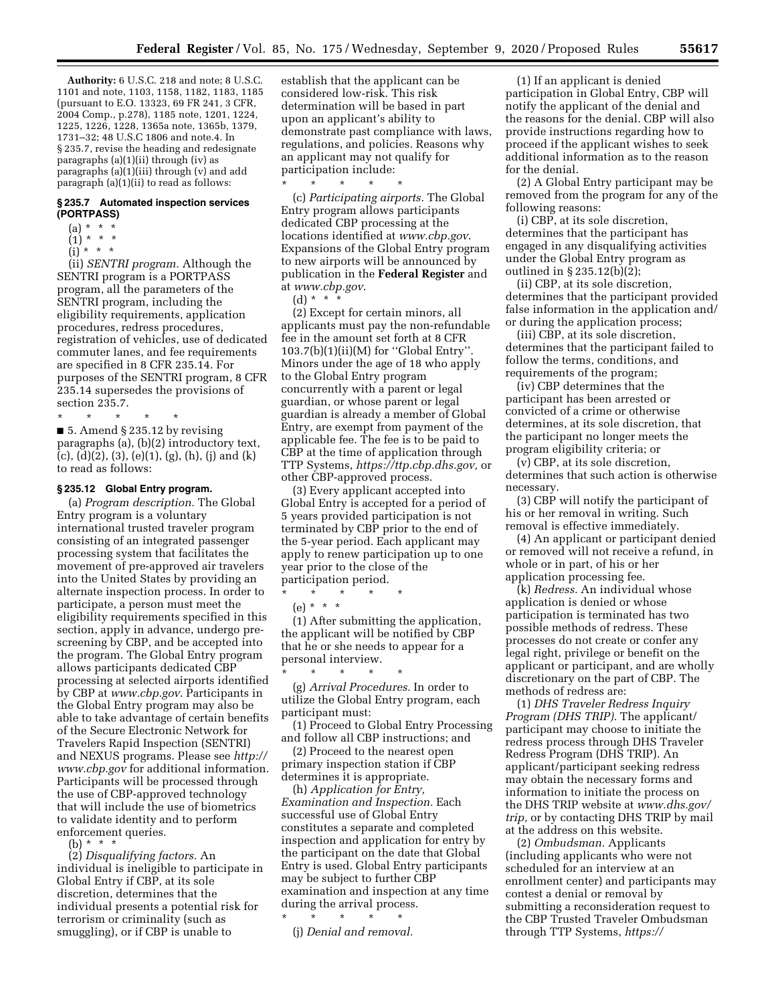**Authority:** 6 U.S.C. 218 and note; 8 U.S.C. 1101 and note, 1103, 1158, 1182, 1183, 1185 (pursuant to E.O. 13323, 69 FR 241, 3 CFR, 2004 Comp., p.278), 1185 note, 1201, 1224, 1225, 1226, 1228, 1365a note, 1365b, 1379, 1731–32; 48 U.S.C 1806 and note.4. In § 235.7, revise the heading and redesignate paragraphs (a)(1)(ii) through (iv) as paragraphs (a)(1)(iii) through (v) and add paragraph (a)(1)(ii) to read as follows:

#### **§ 235.7 Automated inspection services (PORTPASS)**

- $(a) * * * *$
- (1) \* \* \*
- (i) \* \* \*

(ii) *SENTRI program.* Although the SENTRI program is a PORTPASS program, all the parameters of the SENTRI program, including the eligibility requirements, application procedures, redress procedures, registration of vehicles, use of dedicated commuter lanes, and fee requirements are specified in 8 CFR 235.14. For purposes of the SENTRI program, 8 CFR 235.14 supersedes the provisions of section 235.7.

\* \* \* \* \* ■ 5. Amend § 235.12 by revising paragraphs (a), (b)(2) introductory text, (c),  $(d)(2)$ ,  $(3)$ ,  $(e)(1)$ ,  $(g)$ ,  $(h)$ ,  $(j)$  and  $(k)$ to read as follows:

## **§ 235.12 Global Entry program.**

(a) *Program description.* The Global Entry program is a voluntary international trusted traveler program consisting of an integrated passenger processing system that facilitates the movement of pre-approved air travelers into the United States by providing an alternate inspection process. In order to participate, a person must meet the eligibility requirements specified in this section, apply in advance, undergo prescreening by CBP, and be accepted into the program. The Global Entry program allows participants dedicated CBP processing at selected airports identified by CBP at *[www.cbp.gov](http://www.cbp.gov)*. Participants in the Global Entry program may also be able to take advantage of certain benefits of the Secure Electronic Network for Travelers Rapid Inspection (SENTRI) and NEXUS programs. Please see *[http://](http://www.cbp.gov)  [www.cbp.gov](http://www.cbp.gov)* for additional information. Participants will be processed through the use of CBP-approved technology that will include the use of biometrics to validate identity and to perform enforcement queries.

(b) \* \* \*

(2) *Disqualifying factors.* An individual is ineligible to participate in Global Entry if CBP, at its sole discretion, determines that the individual presents a potential risk for terrorism or criminality (such as smuggling), or if CBP is unable to

establish that the applicant can be considered low-risk. This risk determination will be based in part upon an applicant's ability to demonstrate past compliance with laws, regulations, and policies. Reasons why an applicant may not qualify for participation include:

\* \* \* \* \* (c) *Participating airports.* The Global Entry program allows participants dedicated CBP processing at the locations identified at *[www.cbp.gov](http://www.cbp.gov)*. Expansions of the Global Entry program to new airports will be announced by publication in the **Federal Register** and at *[www.cbp.gov](http://www.cbp.gov)*.

(d) \* \*  $*$ 

(2) Except for certain minors, all applicants must pay the non-refundable fee in the amount set forth at 8 CFR 103.7(b)(1)(ii)(M) for ''Global Entry''. Minors under the age of 18 who apply to the Global Entry program concurrently with a parent or legal guardian, or whose parent or legal guardian is already a member of Global Entry, are exempt from payment of the applicable fee. The fee is to be paid to CBP at the time of application through TTP Systems, *[https://ttp.cbp.dhs.gov,](https://ttp.cbp.dhs.gov)* or other CBP-approved process.

(3) Every applicant accepted into Global Entry is accepted for a period of 5 years provided participation is not terminated by CBP prior to the end of the 5-year period. Each applicant may apply to renew participation up to one year prior to the close of the participation period.

\* \* \* \* \* (e) \* \* \*

(1) After submitting the application, the applicant will be notified by CBP that he or she needs to appear for a personal interview.

\* \* \* \* \* (g) *Arrival Procedures.* In order to utilize the Global Entry program, each participant must:

(1) Proceed to Global Entry Processing and follow all CBP instructions; and

(2) Proceed to the nearest open primary inspection station if CBP determines it is appropriate.

(h) *Application for Entry, Examination and Inspection.* Each successful use of Global Entry constitutes a separate and completed inspection and application for entry by the participant on the date that Global Entry is used. Global Entry participants may be subject to further CBP examination and inspection at any time during the arrival process.

\* \* \* \* \*

(j) *Denial and removal.* 

(1) If an applicant is denied participation in Global Entry, CBP will notify the applicant of the denial and the reasons for the denial. CBP will also provide instructions regarding how to proceed if the applicant wishes to seek additional information as to the reason for the denial.

(2) A Global Entry participant may be removed from the program for any of the following reasons:

(i) CBP, at its sole discretion, determines that the participant has engaged in any disqualifying activities under the Global Entry program as outlined in § 235.12(b)(2);

(ii) CBP, at its sole discretion, determines that the participant provided false information in the application and/ or during the application process;

(iii) CBP, at its sole discretion, determines that the participant failed to follow the terms, conditions, and requirements of the program;

(iv) CBP determines that the participant has been arrested or convicted of a crime or otherwise determines, at its sole discretion, that the participant no longer meets the program eligibility criteria; or

(v) CBP, at its sole discretion, determines that such action is otherwise necessary.

(3) CBP will notify the participant of his or her removal in writing. Such removal is effective immediately.

(4) An applicant or participant denied or removed will not receive a refund, in whole or in part, of his or her application processing fee.

(k) *Redress.* An individual whose application is denied or whose participation is terminated has two possible methods of redress. These processes do not create or confer any legal right, privilege or benefit on the applicant or participant, and are wholly discretionary on the part of CBP. The methods of redress are:

(1) *DHS Traveler Redress Inquiry Program (DHS TRIP).* The applicant/ participant may choose to initiate the redress process through DHS Traveler Redress Program (DHS TRIP). An applicant/participant seeking redress may obtain the necessary forms and information to initiate the process on the DHS TRIP website at *[www.dhs.gov/](http://www.dhs.gov/trip)  trip*, or by contacting DHS TRIP by mail at the address on this website.

(2) *Ombudsman.* Applicants (including applicants who were not scheduled for an interview at an enrollment center) and participants may contest a denial or removal by submitting a reconsideration request to the CBP Trusted Traveler Ombudsman through TTP Systems, *[https://](https://ttp.cbp.dhs.gov)*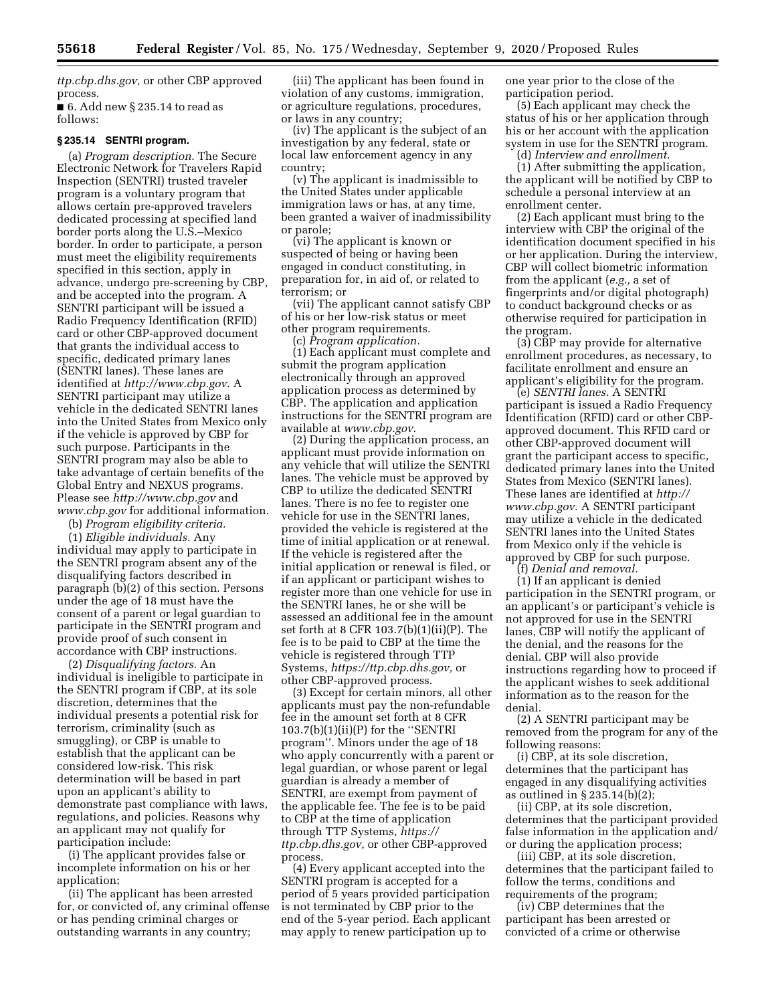*[ttp.cbp.dhs.gov,](https://ttp.cbp.dhs.gov)* or other CBP approved process.  $\blacksquare$  6. Add new § 235.14 to read as

follows:

## **§ 235.14 SENTRI program.**

(a) *Program description.* The Secure Electronic Network for Travelers Rapid Inspection (SENTRI) trusted traveler program is a voluntary program that allows certain pre-approved travelers dedicated processing at specified land border ports along the U.S.–Mexico border. In order to participate, a person must meet the eligibility requirements specified in this section, apply in advance, undergo pre-screening by CBP, and be accepted into the program. A SENTRI participant will be issued a Radio Frequency Identification (RFID) card or other CBP-approved document that grants the individual access to specific, dedicated primary lanes (SENTRI lanes). These lanes are identified at *<http://www.cbp.gov>*. A SENTRI participant may utilize a vehicle in the dedicated SENTRI lanes into the United States from Mexico only if the vehicle is approved by CBP for such purpose. Participants in the SENTRI program may also be able to take advantage of certain benefits of the Global Entry and NEXUS programs. Please see *<http://www.cbp.gov>* and *[www.cbp.gov](http://www.cbp.gov)* for additional information.

(b) *Program eligibility criteria.* 

(1) *Eligible individuals.* Any individual may apply to participate in the SENTRI program absent any of the disqualifying factors described in paragraph (b)(2) of this section. Persons under the age of 18 must have the consent of a parent or legal guardian to participate in the SENTRI program and provide proof of such consent in accordance with CBP instructions.

(2) *Disqualifying factors.* An individual is ineligible to participate in the SENTRI program if CBP, at its sole discretion, determines that the individual presents a potential risk for terrorism, criminality (such as smuggling), or CBP is unable to establish that the applicant can be considered low-risk. This risk determination will be based in part upon an applicant's ability to demonstrate past compliance with laws, regulations, and policies. Reasons why an applicant may not qualify for participation include:

(i) The applicant provides false or incomplete information on his or her application;

(ii) The applicant has been arrested for, or convicted of, any criminal offense or has pending criminal charges or outstanding warrants in any country;

(iii) The applicant has been found in violation of any customs, immigration, or agriculture regulations, procedures, or laws in any country;

(iv) The applicant is the subject of an investigation by any federal, state or local law enforcement agency in any country;

(v) The applicant is inadmissible to the United States under applicable immigration laws or has, at any time, been granted a waiver of inadmissibility or parole;

(vi) The applicant is known or suspected of being or having been engaged in conduct constituting, in preparation for, in aid of, or related to terrorism; or

(vii) The applicant cannot satisfy CBP of his or her low-risk status or meet other program requirements.

(c) *Program application.* 

(1) Each applicant must complete and submit the program application electronically through an approved application process as determined by CBP. The application and application instructions for the SENTRI program are available at *[www.cbp.gov](http://www.cbp.gov)*.

(2) During the application process, an applicant must provide information on any vehicle that will utilize the SENTRI lanes. The vehicle must be approved by CBP to utilize the dedicated SENTRI lanes. There is no fee to register one vehicle for use in the SENTRI lanes, provided the vehicle is registered at the time of initial application or at renewal. If the vehicle is registered after the initial application or renewal is filed, or if an applicant or participant wishes to register more than one vehicle for use in the SENTRI lanes, he or she will be assessed an additional fee in the amount set forth at 8 CFR 103.7(b)(1)(ii)(P). The fee is to be paid to CBP at the time the vehicle is registered through TTP Systems, *[https://ttp.cbp.dhs.gov,](https://ttp.cbp.dhs.gov)* or other CBP-approved process.

(3) Except for certain minors, all other applicants must pay the non-refundable fee in the amount set forth at 8 CFR 103.7(b)(1)(ii)(P) for the ''SENTRI program''. Minors under the age of 18 who apply concurrently with a parent or legal guardian, or whose parent or legal guardian is already a member of SENTRI, are exempt from payment of the applicable fee. The fee is to be paid to CBP at the time of application through TTP Systems, *[https://](https://ttp.cbp.dhs.gov) [ttp.cbp.dhs.gov,](https://ttp.cbp.dhs.gov)* or other CBP-approved process.

(4) Every applicant accepted into the SENTRI program is accepted for a period of 5 years provided participation is not terminated by CBP prior to the end of the 5-year period. Each applicant may apply to renew participation up to

one year prior to the close of the participation period.

(5) Each applicant may check the status of his or her application through his or her account with the application system in use for the SENTRI program.

(d) *Interview and enrollment.*  (1) After submitting the application, the applicant will be notified by CBP to schedule a personal interview at an enrollment center.

(2) Each applicant must bring to the interview with CBP the original of the identification document specified in his or her application. During the interview, CBP will collect biometric information from the applicant (*e.g.,* a set of fingerprints and/or digital photograph) to conduct background checks or as otherwise required for participation in the program.

(3) CBP may provide for alternative enrollment procedures, as necessary, to facilitate enrollment and ensure an applicant's eligibility for the program.

(e) *SENTRI lanes.* A SENTRI participant is issued a Radio Frequency Identification (RFID) card or other CBPapproved document. This RFID card or other CBP-approved document will grant the participant access to specific, dedicated primary lanes into the United States from Mexico (SENTRI lanes). These lanes are identified at *[http://](http://www.cbp.gov) [www.cbp.gov](http://www.cbp.gov)*. A SENTRI participant may utilize a vehicle in the dedicated SENTRI lanes into the United States from Mexico only if the vehicle is approved by CBP for such purpose.

(f) *Denial and removal.* 

(1) If an applicant is denied participation in the SENTRI program, or an applicant's or participant's vehicle is not approved for use in the SENTRI lanes, CBP will notify the applicant of the denial, and the reasons for the denial. CBP will also provide instructions regarding how to proceed if the applicant wishes to seek additional information as to the reason for the denial.

(2) A SENTRI participant may be removed from the program for any of the following reasons:

(i) CBP, at its sole discretion, determines that the participant has engaged in any disqualifying activities as outlined in § 235.14(b)(2);

(ii) CBP, at its sole discretion, determines that the participant provided false information in the application and/ or during the application process;

(iii) CBP, at its sole discretion, determines that the participant failed to follow the terms, conditions and requirements of the program;

(iv) CBP determines that the participant has been arrested or convicted of a crime o[r otherw](https://ttp.cbp.dhs.gov)ise